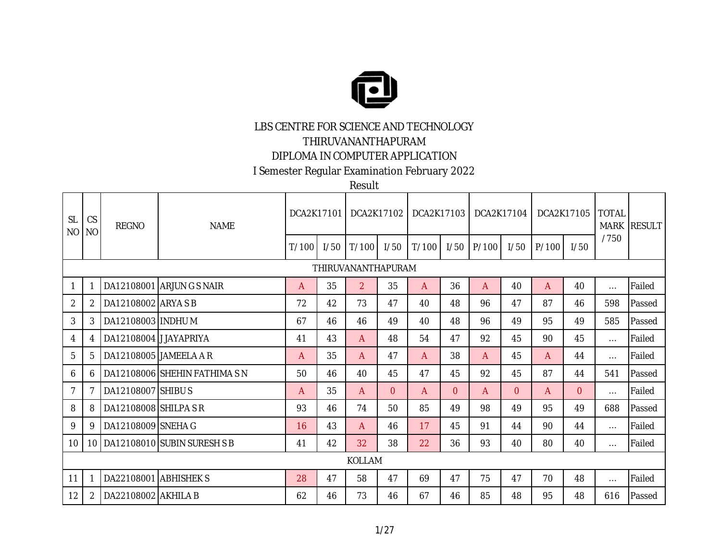

## LBS CENTRE FOR SCIENCE AND TECHNOLOGY

THIRUVANANTHAPURAM

## DIPLOMA IN COMPUTER APPLICATION

I Semester Regular Examination February 2022

Result

| <b>SL</b><br>N <sub>O</sub> | <b>CS</b><br>NO. | <b>REGNO</b>           | <b>NAME</b>                        | DCA2K17101 |      |                    | DCA2K17102   | DCA2K17103   |          | DCA2K17104 |                |       | DCA2K17105 | <b>TOTAL</b><br><b>MARK</b> | <b>RESULT</b> |
|-----------------------------|------------------|------------------------|------------------------------------|------------|------|--------------------|--------------|--------------|----------|------------|----------------|-------|------------|-----------------------------|---------------|
|                             |                  |                        |                                    | T/100      | 1/50 | T/100              | 1/50         | T/100        | 1/50     | P/100      | 1/50           | P/100 | 1/50       | /750                        |               |
|                             |                  |                        |                                    |            |      | THIRUVANANTHAPURAM |              |              |          |            |                |       |            |                             |               |
|                             |                  |                        | DA12108001 ARJUNGS NAIR            | A          | 35   | $\overline{2}$     | 35           | A            | 36       | A          | 40             | A     | 40         | $\cdots$                    | Failed        |
| $\overline{2}$              | 2                | DA12108002 ARYA S B    |                                    | 72         | 42   | 73                 | 47           | 40           | 48       | 96         | 47             | 87    | 46         | 598                         | Passed        |
| 3                           | 3                | DA12108003 INDHU M     |                                    | 67         | 46   | 46                 | 49           | 40           | 48       | 96         | 49             | 95    | 49         | 585                         | Passed        |
| 4                           | 4                | DA12108004 JJAYAPRIYA  |                                    | 41         | 43   | A                  | 48           | 54           | 47       | 92         | 45             | 90    | 45         | $\cdots$                    | Failed        |
| 5                           | 5                | DA12108005 JAMEELA A R |                                    | A          | 35   | A                  | 47           | $\mathsf{A}$ | 38       | A          | 45             | A     | 44         | $\cdots$                    | Failed        |
| 6                           | 6                |                        | DA12108006 SHEHIN FATHIMA SN       | 50         | 46   | 40                 | 45           | 47           | 45       | 92         | 45             | 87    | 44         | 541                         | Passed        |
| 7                           |                  | DA12108007 SHIBUS      |                                    | A          | 35   | A                  | $\Omega$     | $\mathsf{A}$ | $\Omega$ | A          | $\overline{0}$ | A     | $\Omega$   | $\cdots$                    | Failed        |
| 8                           | 8                | DA12108008 SHILPA SR   |                                    | 93         | 46   | 74                 | $50^{\circ}$ | 85           | 49       | 98         | 49             | 95    | 49         | 688                         | Passed        |
| 9                           | 9                | DA12108009 SNEHA G     |                                    | 16         | 43   | A                  | 46           | 17           | 45       | 91         | 44             | 90    | 44         | $\cdots$                    | Failed        |
| 10                          |                  |                        | 10   DA12108010   SUBIN SURESH S B | 41         | 42   | 32                 | 38           | 22           | 36       | 93         | 40             | 80    | 40         | $\cdots$                    | Failed        |
|                             |                  |                        |                                    |            |      | KOLLAM             |              |              |          |            |                |       |            |                             |               |
| 11                          |                  | DA22108001 ABHISHEK S  |                                    | 28         | 47   | 58                 | 47           | 69           | 47       | 75         | 47             | 70    | 48         | $\cdots$                    | Failed        |
| 12                          | 2                | DA22108002 AKHILA B    |                                    | 62         | 46   | 73                 | 46           | 67           | 46       | 85         | 48             | 95    | 48         | 616                         | Passed        |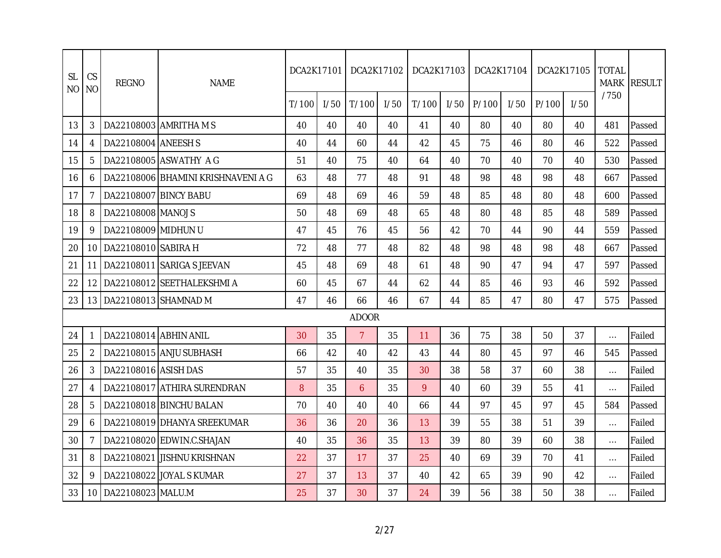| <b>SL</b><br>N <sub>O</sub> | CS<br><b>NO</b> | <b>REGNO</b>          | <b>NAME</b>                        | DCA2K17101 |      | DCA2K17102     |      | DCA2K17103 |      | DCA2K17104 |      |       | DCA2K17105 | <b>TOTAL</b> | MARK RESULT |
|-----------------------------|-----------------|-----------------------|------------------------------------|------------|------|----------------|------|------------|------|------------|------|-------|------------|--------------|-------------|
|                             |                 |                       |                                    | T/100      | 1/50 | T/100          | 1/50 | T/100      | 1/50 | P/100      | I/50 | P/100 | I/50       | /750         |             |
| 13                          | 3               |                       | DA22108003 AMRITHA MS              | 40         | 40   | 40             | 40   | 41         | 40   | 80         | 40   | 80    | 40         | 481          | Passed      |
| 14                          | 4               | DA22108004 ANEESH S   |                                    | 40         | 44   | 60             | 44   | 42         | 45   | 75         | 46   | 80    | 46         | 522          | Passed      |
| 15                          | 5               |                       | DA22108005 ASWATHY AG              | 51         | 40   | 75             | 40   | 64         | 40   | 70         | 40   | 70    | 40         | 530          | Passed      |
| 16                          | 6               |                       | DA22108006 BHAMINI KRISHNAVENI A G | 63         | 48   | 77             | 48   | 91         | 48   | 98         | 48   | 98    | 48         | 667          | Passed      |
| 17                          | 7               | DA22108007 BINCY BABU |                                    | 69         | 48   | 69             | 46   | 59         | 48   | 85         | 48   | 80    | 48         | 600          | Passed      |
| 18                          | 8               | DA22108008 MANOJ S    |                                    | 50         | 48   | 69             | 48   | 65         | 48   | 80         | 48   | 85    | 48         | 589          | Passed      |
| 19                          | 9               | DA22108009 MIDHUN U   |                                    | 47         | 45   | 76             | 45   | 56         | 42   | 70         | 44   | 90    | 44         | 559          | Passed      |
| 20                          | 10              | DA22108010 SABIRA H   |                                    | 72         | 48   | 77             | 48   | 82         | 48   | 98         | 48   | 98    | 48         | 667          | Passed      |
| 21                          | 11              |                       | DA22108011 SARIGA S JEEVAN         | 45         | 48   | 69             | 48   | 61         | 48   | 90         | 47   | 94    | 47         | 597          | Passed      |
| 22                          | 12              |                       | DA22108012 SEETHALEKSHMI A         | 60         | 45   | 67             | 44   | 62         | 44   | 85         | 46   | 93    | 46         | 592          | Passed      |
| 23                          | 13              | DA22108013 SHAMNAD M  |                                    | 47         | 46   | 66             | 46   | 67         | 44   | 85         | 47   | 80    | 47         | 575          | Passed      |
|                             |                 |                       |                                    |            |      | <b>ADOOR</b>   |      |            |      |            |      |       |            |              |             |
| 24                          |                 | DA22108014 ABHIN ANIL |                                    | 30         | 35   | $\overline{7}$ | 35   | 11         | 36   | 75         | 38   | 50    | 37         | $\cdots$     | Failed      |
| 25                          | $\overline{2}$  |                       | DA22108015 ANJU SUBHASH            | 66         | 42   | 40             | 42   | 43         | 44   | 80         | 45   | 97    | 46         | 545          | Passed      |
| 26                          | 3               | DA22108016 ASISH DAS  |                                    | 57         | 35   | 40             | 35   | 30         | 38   | 58         | 37   | 60    | 38         | $\cdots$     | Failed      |
| 27                          | 4               |                       | DA22108017 ATHIRA SURENDRAN        | 8          | 35   | 6              | 35   | 9          | 40   | 60         | 39   | 55    | 41         | $\cdots$     | Failed      |
| 28                          | 5               |                       | DA22108018 BINCHU BALAN            | 70         | 40   | 40             | 40   | 66         | 44   | 97         | 45   | 97    | 45         | 584          | Passed      |
| 29                          | 6               |                       | DA22108019 DHANYA SREEKUMAR        | 36         | 36   | 20             | 36   | 13         | 39   | 55         | 38   | 51    | 39         | $\cdots$     | Failed      |
| 30                          | 7               |                       | DA22108020 EDWIN.C.SHAJAN          | 40         | 35   | 36             | 35   | 13         | 39   | 80         | 39   | 60    | 38         | $\cdots$     | Failed      |
| 31                          | 8               |                       | DA22108021 JISHNU KRISHNAN         | 22         | 37   | 17             | 37   | 25         | 40   | 69         | 39   | 70    | 41         | $\cdots$     | Failed      |
| 32                          | 9               |                       | DA22108022 JOYAL S KUMAR           | 27         | 37   | 13             | 37   | 40         | 42   | 65         | 39   | 90    | 42         | $\cdots$     | Failed      |
| 33                          | 10              | DA22108023 MALU.M     |                                    | 25         | 37   | 30             | 37   | 24         | 39   | 56         | 38   | 50    | 38         |              | Failed      |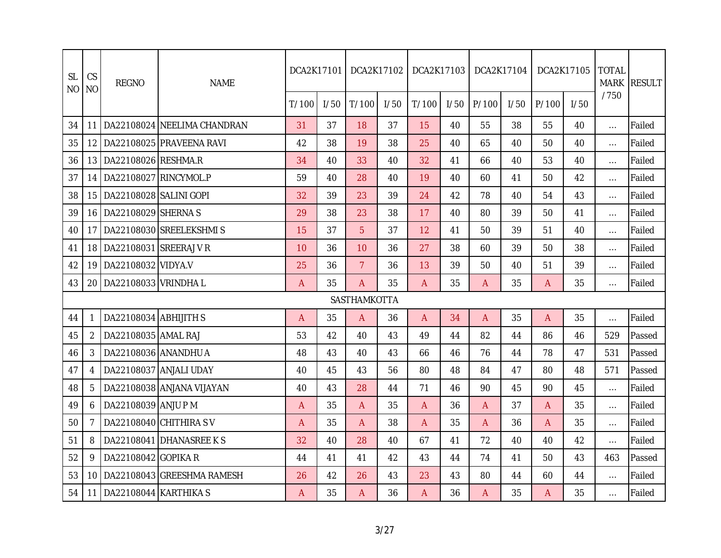| CS<br><b>SL</b><br><b>NO</b><br>N <sub>O</sub> |      | <b>REGNO</b>              | <b>NAME</b>                 | DCA2K17101 |      | DCA2K17102     |      | DCA2K17103     |      | DCA2K17104     |      |       | DCA2K17105 | <b>TOTAL</b><br><b>MARK</b> | <b>RESULT</b> |
|------------------------------------------------|------|---------------------------|-----------------------------|------------|------|----------------|------|----------------|------|----------------|------|-------|------------|-----------------------------|---------------|
|                                                |      |                           |                             | T/100      | 1/50 | T/100          | 1/50 | T/100          | 1/50 | P/100          | 1/50 | P/100 | 1/50       | /750                        |               |
| 34                                             | 11   |                           | DA22108024 NEELIMA CHANDRAN | 31         | 37   | 18             | 37   | 15             | 40   | 55             | 38   | 55    | 40         | $\ldots$                    | Failed        |
| 35                                             | 12   |                           | DA22108025 PRAVEENA RAVI    | 42         | 38   | 19             | 38   | 25             | 40   | 65             | 40   | 50    | 40         | $\ldots$                    | Failed        |
| 36                                             | 13   | DA22108026 RESHMA.R       |                             | 34         | 40   | 33             | 40   | 32             | 41   | 66             | 40   | 53    | 40         | $\ldots$                    | Failed        |
| 37                                             | 14   | DA22108027 RINCYMOL.P     |                             | 59         | 40   | 28             | 40   | 19             | 40   | 60             | 41   | 50    | 42         | $\cdots$                    | Failed        |
| 38                                             | 15   | DA22108028 SALINI GOPI    |                             | 32         | 39   | 23             | 39   | 24             | 42   | 78             | 40   | 54    | 43         | $\ldots$                    | Failed        |
| 39                                             | 16   | DA22108029 SHERNA S       |                             | 29         | 38   | 23             | 38   | 17             | 40   | 80             | 39   | 50    | 41         | $\ldots$                    | Failed        |
| 40                                             | 17   |                           | DA22108030 SREELEKSHMIS     | 15         | 37   | 5              | 37   | 12             | 41   | 50             | 39   | 51    | 40         | $\ldots$                    | Failed        |
| 41                                             |      | 18 DA22108031 SREERAJ V R |                             | 10         | 36   | 10             | 36   | 27             | 38   | 60             | 39   | 50    | 38         | $\dots$                     | Failed        |
| 42                                             | 19   | DA22108032 VIDYA.V        |                             | 25         | 36   | $\overline{7}$ | 36   | 13             | 39   | 50             | 40   | 51    | 39         | $\cdots$                    | Failed        |
| 43                                             | 20   | DA22108033 VRINDHAL       |                             | A          | 35   | A              | 35   | $\mathsf{A}$   | 35   | $\overline{A}$ | 35   | A     | 35         | $\cdots$                    | Failed        |
|                                                |      |                           |                             |            |      | SASTHAMKOTTA   |      |                |      |                |      |       |            |                             |               |
| 44                                             |      | DA22108034 ABHIJITH S     |                             | A          | 35   | A              | 36   | $\overline{A}$ | 34   | $\overline{A}$ | 35   | A     | 35         | $\cdots$                    | Failed        |
| 45                                             | 2    | DA22108035 AMAL RAJ       |                             | 53         | 42   | 40             | 43   | 49             | 44   | 82             | 44   | 86    | 46         | 529                         | Passed        |
| 46                                             | 3    | DA22108036 ANANDHU A      |                             | 48         | 43   | 40             | 43   | 66             | 46   | 76             | 44   | 78    | 47         | 531                         | Passed        |
| 47                                             | 4    |                           | DA22108037 ANJALI UDAY      | 40         | 45   | 43             | 56   | 80             | 48   | 84             | 47   | 80    | 48         | 571                         | Passed        |
| 48                                             | 5    |                           | DA22108038 ANJANA VIJAYAN   | 40         | 43   | 28             | 44   | 71             | 46   | 90             | 45   | 90    | 45         | $\ldots$                    | Failed        |
| 49                                             | 6    | DA22108039 ANJU P M       |                             | A          | 35   | A              | 35   | A              | 36   | A              | 37   | A     | 35         | $\ldots$                    | Failed        |
| 50                                             | 7    |                           | DA22108040 CHITHIRA SV      | A          | 35   | A              | 38   | $\mathsf{A}$   | 35   | $\overline{A}$ | 36   | A     | 35         | $\cdots$                    | Failed        |
| 51                                             | 8    |                           | DA22108041 DHANASREE KS     | 32         | 40   | 28             | 40   | 67             | 41   | 72             | 40   | 40    | 42         | $\cdots$                    | Failed        |
| 52                                             | 9    | DA22108042 GOPIKA R       |                             | 44         | 41   | 41             | 42   | 43             | 44   | 74             | 41   | 50    | 43         | 463                         | Passed        |
| 53                                             | 10   |                           | DA22108043 GREESHMA RAMESH  | 26         | 42   | 26             | 43   | 23             | 43   | 80             | 44   | 60    | 44         | $\ldots$                    | Failed        |
| 54                                             | 11 I | DA22108044 KARTHIKA S     |                             | A          | 35   | A              | 36   | A              | 36   | A              | 35   | A     | 35         | $\cdots$                    | Failed        |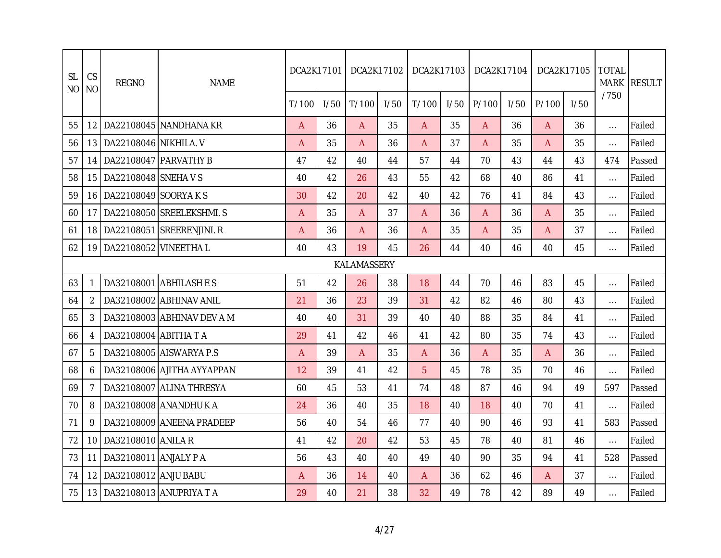| CS<br><b>SL</b><br><b>NO</b><br>N <sub>O</sub> |                 | <b>REGNO</b>                 | <b>NAME</b>                | DCA2K17101     |      | DCA2K17102  |      | DCA2K17103     |      | DCA2K17104     |      |       | DCA2K17105 | <b>TOTAL</b><br><b>MARK</b> | <b>RESULT</b> |
|------------------------------------------------|-----------------|------------------------------|----------------------------|----------------|------|-------------|------|----------------|------|----------------|------|-------|------------|-----------------------------|---------------|
|                                                |                 |                              |                            | T/100          | 1/50 | T/100       | 1/50 | T/100          | 1/50 | P/100          | 1/50 | P/100 | 1/50       | /750                        |               |
| 55                                             | 12 <sub>1</sub> |                              | DA22108045 NANDHANA KR     | $\overline{A}$ | 36   | A           | 35   | $\overline{A}$ | 35   | $\overline{A}$ | 36   | A     | 36         | $\ldots$                    | Failed        |
| 56                                             | 13              | DA22108046 NIKHILA. V        |                            | A              | 35   | A           | 36   | $\mathsf{A}$   | 37   | $\overline{A}$ | 35   | A     | 35         | $\ldots$                    | Failed        |
| 57                                             | 14              | DA22108047 PARVATHY B        |                            | 47             | 42   | 40          | 44   | 57             | 44   | 70             | 43   | 44    | 43         | 474                         | Passed        |
| 58                                             | 15              | DA22108048 SNEHA V S         |                            | 40             | 42   | 26          | 43   | 55             | 42   | 68             | 40   | 86    | 41         | $\ldots$                    | Failed        |
| 59                                             | 16              | DA22108049 SOORYAKS          |                            | 30             | 42   | 20          | 42   | 40             | 42   | 76             | 41   | 84    | 43         | $\cdots$                    | Failed        |
| 60                                             | 17              |                              | DA22108050 SREELEKSHMI. S  | A              | 35   | A           | 37   | A              | 36   | A              | 36   | A     | 35         | $\ldots$                    | Failed        |
| 61                                             | 18              |                              | DA22108051 SREERENJINI. R  | A              | 36   | A           | 36   | $\mathsf{A}$   | 35   | A              | 35   | A     | 37         | $\dots$                     | Failed        |
| 62                                             |                 | 19   DA22108052   VINEETHA L |                            | 40             | 43   | 19          | 45   | 26             | 44   | 40             | 46   | 40    | 45         | $\dots$                     | Failed        |
|                                                |                 |                              |                            |                |      | KALAMASSERY |      |                |      |                |      |       |            |                             |               |
| 63                                             | $\mathbf{1}$    | DA32108001                   | <b>ABHILASHES</b>          | 51             | 42   | 26          | 38   | 18             | 44   | 70             | 46   | 83    | 45         | $\ldots$                    | Failed        |
| 64                                             | 2               | DA32108002                   | <b>ABHINAV ANIL</b>        | 21             | 36   | 23          | 39   | 31             | 42   | 82             | 46   | 80    | 43         | $\ldots$                    | Failed        |
| 65                                             | 3               |                              | DA32108003 ABHINAV DEV A M | 40             | 40   | 31          | 39   | 40             | 40   | 88             | 35   | 84    | 41         | $\ldots$                    | Failed        |
| 66                                             | 4               | DA32108004 ABITHA T A        |                            | 29             | 41   | 42          | 46   | 41             | 42   | 80             | 35   | 74    | 43         | $\dots$                     | Failed        |
| 67                                             | 5               |                              | DA32108005 AISWARYA P.S    | Α              | 39   | A           | 35   | A              | 36   | A              | 35   | A     | 36         | $\ldots$                    | Failed        |
| 68                                             | 6               |                              | DA32108006 AJITHA AYYAPPAN | 12             | 39   | 41          | 42   | $\overline{5}$ | 45   | 78             | 35   | 70    | 46         | $\ldots$                    | Failed        |
| 69                                             | 7               |                              | DA32108007 ALINA THRESYA   | 60             | 45   | 53          | 41   | 74             | 48   | 87             | 46   | 94    | 49         | 597                         | Passed        |
| 70                                             | 8               |                              | DA32108008 ANANDHU K A     | 24             | 36   | 40          | 35   | 18             | 40   | 18             | 40   | 70    | 41         | $\cdots$                    | Failed        |
| 71                                             | 9               |                              | DA32108009 ANEENA PRADEEP  | 56             | 40   | 54          | 46   | 77             | 40   | 90             | 46   | 93    | 41         | 583                         | Passed        |
| 72                                             | 10              | DA32108010 ANILA R           |                            | 41             | 42   | 20          | 42   | 53             | 45   | 78             | 40   | 81    | 46         | $\ldots$                    | Failed        |
| 73                                             | 11              | DA32108011 ANJALY P A        |                            | 56             | 43   | 40          | 40   | 49             | 40   | 90             | 35   | 94    | 41         | 528                         | Passed        |
| 74                                             | 12              | DA32108012 ANJU BABU         |                            | A              | 36   | 14          | 40   | A              | 36   | 62             | 46   | A     | 37         | $\ldots$                    | Failed        |
| 75                                             | 13              |                              | DA32108013 ANUPRIYA TA     | 29             | 40   | 21          | 38   | 32             | 49   | 78             | 42   | 89    | 49         | $\cdots$                    | Failed        |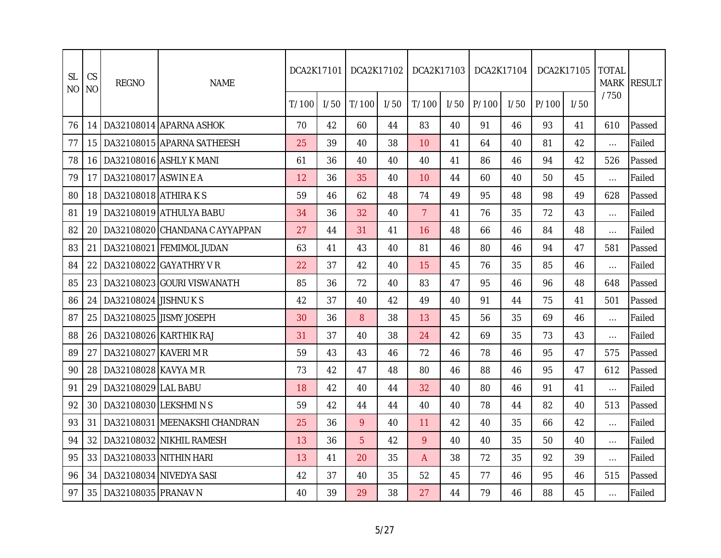| <b>SL</b><br>N <sub>O</sub> | CS<br><b>NO</b>  | <b>REGNO</b>           | <b>NAME</b>                    | DCA2K17101 |      | DCA2K17102 |      | DCA2K17103      |      | DCA2K17104 |      |       | DCA2K17105 | <b>TOTAL</b><br><b>MARK</b> | <b>RESULT</b> |
|-----------------------------|------------------|------------------------|--------------------------------|------------|------|------------|------|-----------------|------|------------|------|-------|------------|-----------------------------|---------------|
|                             |                  |                        |                                | T/100      | 1/50 | T/100      | 1/50 | T/100           | 1/50 | P/100      | 1/50 | P/100 | 1/50       | /750                        |               |
| 76                          | 14               |                        | DA32108014 APARNA ASHOK        | 70         | 42   | 60         | 44   | 83              | 40   | 91         | 46   | 93    | 41         | 610                         | Passed        |
| 77                          | 15 <sup>15</sup> |                        | DA32108015 APARNA SATHEESH     | 25         | 39   | 40         | 38   | 10 <sup>1</sup> | 41   | 64         | 40   | 81    | 42         | $\ldots$                    | Failed        |
| 78                          | 16 I             |                        | DA32108016 ASHLY K MANI        | 61         | 36   | 40         | 40   | 40              | 41   | 86         | 46   | 94    | 42         | 526                         | Passed        |
| 79                          | 17               | DA32108017 ASWIN E A   |                                | 12         | 36   | 35         | 40   | 10              | 44   | 60         | 40   | 50    | 45         | $\ldots$                    | Failed        |
| 80                          | 18               | DA32108018 ATHIRAKS    |                                | 59         | 46   | 62         | 48   | 74              | 49   | 95         | 48   | 98    | 49         | 628                         | Passed        |
| 81                          | 19               |                        | DA32108019 ATHULYA BABU        | 34         | 36   | 32         | 40   | $\overline{7}$  | 41   | 76         | 35   | 72    | 43         | $\ldots$                    | Failed        |
| 82                          | 20               |                        | DA32108020 CHANDANA C AYYAPPAN | 27         | 44   | 31         | 41   | 16              | 48   | 66         | 46   | 84    | 48         | $\ldots$                    | Failed        |
| 83                          | 21               |                        | DA32108021 FEMIMOL JUDAN       | 63         | 41   | 43         | 40   | 81              | 46   | 80         | 46   | 94    | 47         | 581                         | Passed        |
| 84                          | 22               |                        | DA32108022 GAYATHRY VR         | 22         | 37   | 42         | 40   | 15              | 45   | 76         | 35   | 85    | 46         | $\ldots$                    | Failed        |
| 85                          | 23               |                        | DA32108023 GOURI VISWANATH     | 85         | 36   | 72         | 40   | 83              | 47   | 95         | 46   | 96    | 48         | 648                         | Passed        |
| 86                          | 24               | DA32108024 JISHNU K S  |                                | 42         | 37   | 40         | 42   | 49              | 40   | 91         | 44   | 75    | 41         | 501                         | Passed        |
| 87                          | 25               |                        | DA32108025 JISMY JOSEPH        | 30         | 36   | 8          | 38   | 13              | 45   | 56         | 35   | 69    | 46         | $\ldots$                    | Failed        |
| 88                          | 26               | DA32108026 KARTHIK RAJ |                                | 31         | 37   | 40         | 38   | 24              | 42   | 69         | 35   | 73    | 43         | $\dots$                     | Failed        |
| 89                          | 27               | DA32108027 KAVERI M R  |                                | 59         | 43   | 43         | 46   | 72              | 46   | 78         | 46   | 95    | 47         | 575                         | Passed        |
| 90                          | 28               | DA32108028 KAVYA M R   |                                | 73         | 42   | 47         | 48   | 80              | 46   | 88         | 46   | 95    | 47         | 612                         | Passed        |
| 91                          | 29               | DA32108029 LAL BABU    |                                | 18         | 42   | 40         | 44   | 32              | 40   | 80         | 46   | 91    | 41         | $\ldots$                    | Failed        |
| 92                          | 30               | DA32108030 LEKSHMINS   |                                | 59         | 42   | 44         | 44   | 40              | 40   | 78         | 44   | 82    | 40         | 513                         | Passed        |
| 93                          | 31               |                        | DA32108031 MEENAKSHI CHANDRAN  | 25         | 36   | 9          | 40   | 11              | 42   | 40         | 35   | 66    | 42         | $\cdots$                    | Failed        |
| 94                          | 32               |                        | DA32108032 NIKHIL RAMESH       | 13         | 36   | 5          | 42   | 9               | 40   | 40         | 35   | 50    | 40         | $\cdots$                    | Failed        |
| 95                          | 33               | DA32108033 NITHIN HARI |                                | 13         | 41   | 20         | 35   | A               | 38   | 72         | 35   | 92    | 39         | $\ldots$                    | Failed        |
| 96                          | 34               |                        | DA32108034 NIVEDYA SASI        | 42         | 37   | 40         | 35   | 52              | 45   | 77         | 46   | 95    | 46         | 515                         | Passed        |
| 97                          | 35               | DA32108035 PRANAV N    |                                | 40         | 39   | 29         | 38   | 27              | 44   | 79         | 46   | 88    | 45         | $\cdots$                    | Failed        |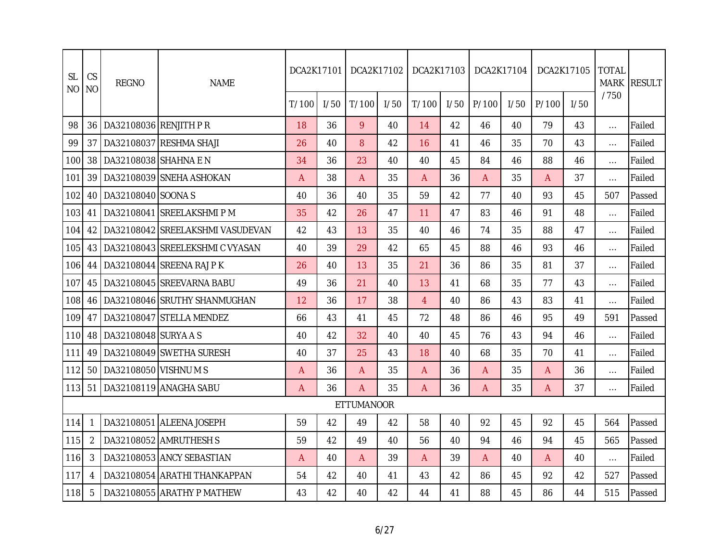| <b>SL</b><br><b>NO</b> | CS<br><b>NO</b> | <b>REGNO</b>              | <b>NAME</b>                      | DCA2K17101 |      | DCA2K17102        |      | DCA2K17103     |      | DCA2K17104 |      |       | DCA2K17105 | <b>TOTAL</b><br><b>MARK</b> | <b>RESULT</b> |
|------------------------|-----------------|---------------------------|----------------------------------|------------|------|-------------------|------|----------------|------|------------|------|-------|------------|-----------------------------|---------------|
|                        |                 |                           |                                  | T/100      | 1/50 | T/100             | 1/50 | T/100          | 1/50 | P/100      | 1/50 | P/100 | 1/50       | /750                        |               |
| 98                     |                 | 36 DA32108036 RENJITH P R |                                  | 18         | 36   | 9                 | 40   | 14             | 42   | 46         | 40   | 79    | 43         | $\ldots$                    | Failed        |
| 99                     | 37              |                           | DA32108037 RESHMA SHAJI          | 26         | 40   | 8                 | 42   | 16             | 41   | 46         | 35   | 70    | 43         | $\ldots$                    | Failed        |
| 100                    | 38              | DA32108038 SHAHNA E N     |                                  | 34         | 36   | 23                | 40   | 40             | 45   | 84         | 46   | 88    | 46         | $\cdots$                    | Failed        |
| 101                    | 39              |                           | DA32108039 SNEHA ASHOKAN         | A          | 38   | A                 | 35   | A              | 36   | A          | 35   | A     | 37         | $\cdots$                    | Failed        |
| 102                    | 40              | DA32108040 SOONA S        |                                  | 40         | 36   | 40                | 35   | 59             | 42   | 77         | 40   | 93    | 45         | 507                         | Passed        |
| 103                    | 41              |                           | DA32108041 SREELAKSHMI PM        | 35         | 42   | 26                | 47   | 11             | 47   | 83         | 46   | 91    | 48         | $\cdots$                    | Failed        |
| 104                    | 42              |                           | DA32108042 SREELAKSHMI VASUDEVAN | 42         | 43   | 13                | 35   | 40             | 46   | 74         | 35   | 88    | 47         | $\cdots$                    | Failed        |
| 105                    | 43              |                           | DA32108043 SREELEKSHMI C VYASAN  | 40         | 39   | 29                | 42   | 65             | 45   | 88         | 46   | 93    | 46         | $\cdots$                    | Failed        |
| 106                    | 44              |                           | DA32108044 SREENA RAJ PK         | 26         | 40   | 13                | 35   | 21             | 36   | 86         | 35   | 81    | 37         | $\cdots$                    | Failed        |
| 107                    |                 |                           | 45   DA32108045 SREEVARNA BABU   | 49         | 36   | 21                | 40   | 13             | 41   | 68         | 35   | 77    | 43         | $\cdots$                    | Failed        |
| 108                    | 46              |                           | DA32108046 SRUTHY SHANMUGHAN     | 12         | 36   | 17                | 38   | $\overline{4}$ | 40   | 86         | 43   | 83    | 41         | $\ldots$                    | Failed        |
| 109                    | 47              |                           | DA32108047 STELLA MENDEZ         | 66         | 43   | 41                | 45   | 72             | 48   | 86         | 46   | 95    | 49         | 591                         | Passed        |
| 110                    | 48              | DA32108048 SURYA A S      |                                  | 40         | 42   | 32                | 40   | 40             | 45   | 76         | 43   | 94    | 46         | $\cdots$                    | Failed        |
| 111                    | 49              |                           | DA32108049 ISWETHA SURESH        | 40         | 37   | 25                | 43   | 18             | 40   | 68         | 35   | 70    | 41         | $\cdots$                    | Failed        |
| 112                    | 50 I            | DA32108050 VISHNUMS       |                                  | A          | 36   | A                 | 35   | A              | 36   | A          | 35   | Α     | 36         | $\cdots$                    | Failed        |
| 113                    | 51              |                           | DA32108119 ANAGHA SABU           | A          | 36   | A                 | 35   | A              | 36   | A          | 35   | Α     | 37         | $\cdots$                    | Failed        |
|                        |                 |                           |                                  |            |      | <b>ETTUMANOOR</b> |      |                |      |            |      |       |            |                             |               |
| 114                    |                 |                           | DA32108051 ALEENA JOSEPH         | 59         | 42   | 49                | 42   | 58             | 40   | 92         | 45   | 92    | 45         | 564                         | Passed        |
| 115                    | $\overline{2}$  |                           | DA32108052 AMRUTHESH S           | 59         | 42   | 49                | 40   | 56             | 40   | 94         | 46   | 94    | 45         | 565                         | Passed        |
| 116                    | 3               |                           | DA32108053 ANCY SEBASTIAN        | A          | 40   | A                 | 39   | $\mathsf{A}$   | 39   | A          | 40   | A     | 40         | $\ldots$                    | Failed        |
| 117                    | 4               |                           | DA32108054 ARATHI THANKAPPAN     | 54         | 42   | 40                | 41   | 43             | 42   | 86         | 45   | 92    | 42         | 527                         | Passed        |
| 118                    | 5               |                           | DA32108055 ARATHY P MATHEW       | 43         | 42   | 40                | 42   | 44             | 41   | 88         | 45   | 86    | 44         | 515                         | Passed        |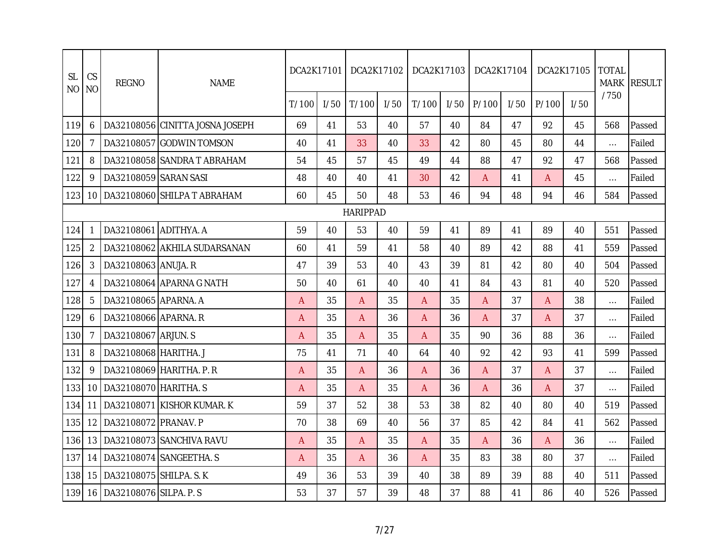| <b>SL</b><br>N <sub>O</sub> | CS<br><b>NO</b> | <b>REGNO</b>              | <b>NAME</b>                      | DCA2K17101     |      |                 | DCA2K17102 | DCA2K17103     |      | DCA2K17104     |      |       | DCA2K17105 | <b>TOTAL</b><br><b>MARK</b> | <b>RESULT</b> |
|-----------------------------|-----------------|---------------------------|----------------------------------|----------------|------|-----------------|------------|----------------|------|----------------|------|-------|------------|-----------------------------|---------------|
|                             |                 |                           |                                  | T/100          | 1/50 | T/100           | I/50       | T/100          | 1/50 | P/100          | 1/50 | P/100 | 1/50       | /750                        |               |
| 119                         | 6               |                           | DA32108056 CINITTA JOSNA JOSEPH  | 69             | 41   | 53              | 40         | 57             | 40   | 84             | 47   | 92    | 45         | 568                         | Passed        |
| 120                         | 7               |                           | DA32108057 GODWIN TOMSON         | 40             | 41   | 33              | 40         | 33             | 42   | 80             | 45   | 80    | 44         | $\cdots$                    | Failed        |
| 121                         | 8               |                           | DA32108058 SANDRA T ABRAHAM      | 54             | 45   | 57              | 45         | 49             | 44   | 88             | 47   | 92    | 47         | 568                         | Passed        |
| 122                         | 9               | DA32108059 SARAN SASI     |                                  | 48             | 40   | 40              | 41         | 30             | 42   | A              | 41   | A     | 45         | $\ldots$                    | Failed        |
| 123                         |                 |                           | 10   DA32108060 SHILPA T ABRAHAM | 60             | 45   | 50              | 48         | 53             | 46   | 94             | 48   | 94    | 46         | 584                         | Passed        |
|                             |                 |                           |                                  |                |      | <b>HARIPPAD</b> |            |                |      |                |      |       |            |                             |               |
| 124                         | 1               | DA32108061 ADITHYA. A     |                                  | 59             | 40   | 53              | 40         | 59             | 41   | 89             | 41   | 89    | 40         | 551                         | Passed        |
| 125                         | $\overline{2}$  |                           | DA32108062 AKHILA SUDARSANAN     | 60             | 41   | 59              | 41         | 58             | 40   | 89             | 42   | 88    | 41         | 559                         | Passed        |
| 126                         | 3               | DA32108063 ANUJA. R       |                                  | 47             | 39   | 53              | 40         | 43             | 39   | 81             | 42   | 80    | 40         | 504                         | Passed        |
| 127                         | 4               |                           | DA32108064 APARNA G NATH         | 50             | 40   | 61              | 40         | 40             | 41   | 84             | 43   | 81    | 40         | 520                         | Passed        |
| 128                         | 5               | DA32108065 APARNA. A      |                                  | $\overline{A}$ | 35   | A               | 35         | $\overline{A}$ | 35   | $\overline{A}$ | 37   | A     | 38         | $\ldots$                    | Failed        |
| 129                         | 6               | DA32108066 APARNA, R      |                                  | A              | 35   | A               | 36         | $\mathsf{A}$   | 36   | $\overline{A}$ | 37   | A     | 37         | $\ldots$                    | Failed        |
| 130                         |                 | DA32108067 ARJUN. S       |                                  | A              | 35   | A               | 35         | $\mathsf{A}$   | 35   | 90             | 36   | 88    | 36         | $\ldots$                    | Failed        |
| 131                         | 8               | DA32108068 HARITHA. J     |                                  | 75             | 41   | 71              | 40         | 64             | 40   | 92             | 42   | 93    | 41         | 599                         | Passed        |
| 132                         | 9               |                           | DA32108069 HARITHA, P. R         | A              | 35   | A               | 36         | A              | 36   | A              | 37   | A     | 37         | $\ldots$                    | Failed        |
| 133                         | 10              | DA32108070 HARITHA. S     |                                  | A              | 35   | A               | 35         | A              | 36   | A              | 36   | A     | 37         | $\ldots$                    | Failed        |
| 134                         | 11              |                           | DA32108071 KISHOR KUMAR. K       | 59             | 37   | 52              | 38         | 53             | 38   | 82             | 40   | 80    | 40         | 519                         | Passed        |
| 135                         | 12 <sub>1</sub> | DA32108072 PRANAV. P      |                                  | 70             | 38   | 69              | 40         | 56             | 37   | 85             | 42   | 84    | 41         | 562                         | Passed        |
| 136                         | 13              |                           | DA32108073 SANCHIVA RAVU         | A              | 35   | A               | 35         | $\mathsf{A}$   | 35   | $\overline{A}$ | 36   | A     | 36         | $\ldots$                    | Failed        |
| 137                         | 14              |                           | DA32108074 SANGEETHA. S          | A              | 35   | A               | 36         | $\mathsf{A}$   | 35   | 83             | 38   | 80    | 37         | $\ldots$                    | Failed        |
| 138                         | 15              | DA32108075 SHILPA. S. K   |                                  | 49             | 36   | 53              | 39         | 40             | 38   | 89             | 39   | 88    | 40         | 511                         | Passed        |
| 139                         |                 | 16 DA32108076 SILPA. P.S. |                                  | 53             | 37   | 57              | 39         | 48             | 37   | 88             | 41   | 86    | 40         | 526                         | Passed        |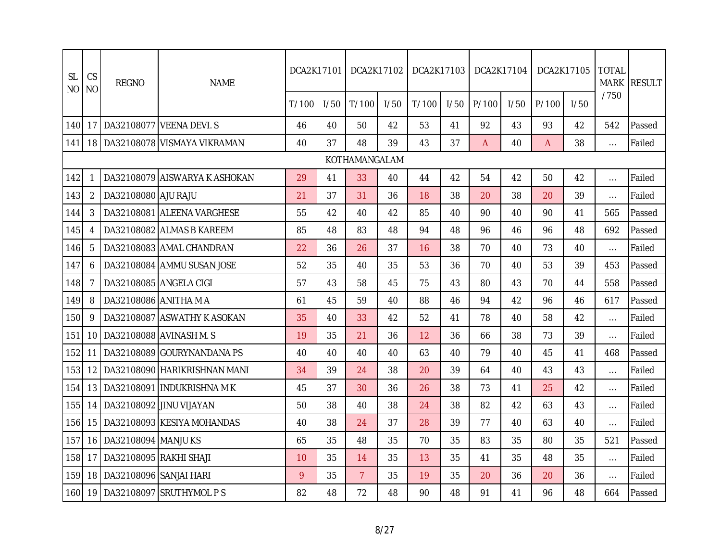| <b>SL</b><br>NO | CS<br><b>NO</b> | <b>REGNO</b>            | <b>NAME</b>                        | DCA2K17101 |      | DCA2K17102     |      | DCA2K17103 |      | DCA2K17104     |      |       | DCA2K17105 | <b>TOTAL</b><br><b>MARK</b> | <b>RESULT</b> |
|-----------------|-----------------|-------------------------|------------------------------------|------------|------|----------------|------|------------|------|----------------|------|-------|------------|-----------------------------|---------------|
|                 |                 |                         |                                    | T/100      | 1/50 | T/100          | 1/50 | T/100      | 1/50 | P/100          | I/50 | P/100 | 1/50       | /750                        |               |
| 140             | 17              |                         | DA32108077 VEENA DEVI. S           | 46         | 40   | 50             | 42   | 53         | 41   | 92             | 43   | 93    | 42         | 542                         | Passed        |
| 141             |                 |                         | 18   DA32108078   VISMAYA VIKRAMAN | 40         | 37   | 48             | 39   | 43         | 37   | $\overline{A}$ | 40   | A     | 38         | $\cdots$                    | Failed        |
|                 |                 |                         |                                    |            |      | KOTHAMANGALAM  |      |            |      |                |      |       |            |                             |               |
| 142             |                 |                         | DA32108079 AISWARYA K ASHOKAN      | 29         | 41   | 33             | 40   | 44         | 42   | 54             | 42   | 50    | 42         | $\ldots$                    | Failed        |
| 143             | 2               | DA32108080 AJU RAJU     |                                    | 21         | 37   | 31             | 36   | 18         | 38   | 20             | 38   | 20    | 39         | $\cdots$                    | Failed        |
| 144             | 3               |                         | DA32108081 ALEENA VARGHESE         | 55         | 42   | 40             | 42   | 85         | 40   | 90             | 40   | 90    | 41         | 565                         | Passed        |
| 145             | 4               |                         | DA32108082 ALMAS B KAREEM          | 85         | 48   | 83             | 48   | 94         | 48   | 96             | 46   | 96    | 48         | 692                         | Passed        |
| 146             | 5               |                         | DA32108083 AMAL CHANDRAN           | 22         | 36   | 26             | 37   | 16         | 38   | 70             | 40   | 73    | 40         | $\ldots$                    | Failed        |
| 147             | 6               |                         | DA32108084 AMMU SUSAN JOSE         | 52         | 35   | 40             | 35   | 53         | 36   | 70             | 40   | 53    | 39         | 453                         | Passed        |
| 148             | 7               | DA32108085 ANGELA CIGI  |                                    | 57         | 43   | 58             | 45   | 75         | 43   | 80             | 43   | 70    | 44         | 558                         | Passed        |
| 149             | 8               | DA32108086 ANITHA M A   |                                    | 61         | 45   | 59             | 40   | 88         | 46   | 94             | 42   | 96    | 46         | 617                         | Passed        |
| 150             | 9               |                         | DA32108087 ASWATHY K ASOKAN        | 35         | 40   | 33             | 42   | 52         | 41   | 78             | 40   | 58    | 42         | $\ldots$                    | Failed        |
| 151             | 10              |                         | DA32108088 AVINASH M. S            | 19         | 35   | 21             | 36   | 12         | 36   | 66             | 38   | 73    | 39         | $\cdots$                    | Failed        |
| 152             | 11              |                         | DA32108089 GOURYNANDANA PS         | 40         | 40   | 40             | 40   | 63         | 40   | 79             | 40   | 45    | 41         | 468                         | Passed        |
| 153             | 12              |                         | DA32108090 HARIKRISHNAN MANI       | 34         | 39   | 24             | 38   | 20         | 39   | 64             | 40   | 43    | 43         | $\ldots$                    | Failed        |
| 154             | 13              |                         | DA32108091 INDUKRISHNA MK          | 45         | 37   | 30             | 36   | 26         | 38   | 73             | 41   | 25    | 42         | $\ldots$                    | Failed        |
| 155             | 14              | DA32108092 JINU VIJAYAN |                                    | 50         | 38   | 40             | 38   | 24         | 38   | 82             | 42   | 63    | 43         | $\ldots$                    | Failed        |
| 156             | 15              |                         | DA32108093 KESIYA MOHANDAS         | 40         | 38   | 24             | 37   | 28         | 39   | 77             | 40   | 63    | 40         | $\dots$                     | Failed        |
| 157             | 16              | DA32108094 MANJU KS     |                                    | 65         | 35   | 48             | 35   | 70         | 35   | 83             | 35   | 80    | 35         | 521                         | Passed        |
| 158             | 17              | DA32108095 RAKHI SHAJI  |                                    | 10         | 35   | 14             | 35   | 13         | 35   | 41             | 35   | 48    | 35         | $\dots$                     | Failed        |
| 159             | 18              | DA32108096 SANJAI HARI  |                                    | 9          | 35   | $\overline{7}$ | 35   | 19         | 35   | 20             | 36   | 20    | 36         | $\ldots$                    | Failed        |
| 160             | 19              |                         | DA32108097 SRUTHYMOL P S           | 82         | 48   | 72             | 48   | 90         | 48   | 91             | 41   | 96    | 48         | 664                         | Passed        |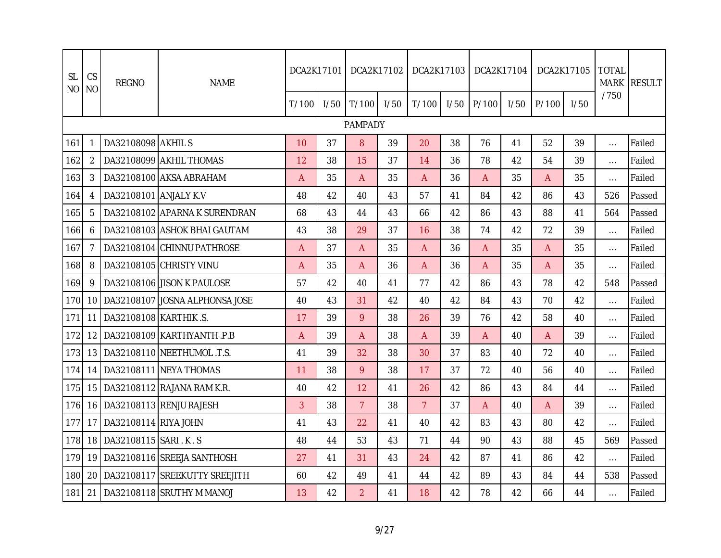| <b>SL</b><br><b>NO</b> | CS<br>N <sub>O</sub> | <b>REGNO</b>             | <b>NAME</b>                    | DCA2K17101 |      | DCA2K17102     |      | DCA2K17103     |      | DCA2K17104 |      |              | DCA2K17105 | <b>TOTAL</b><br><b>MARK</b> | <b>RESULT</b> |
|------------------------|----------------------|--------------------------|--------------------------------|------------|------|----------------|------|----------------|------|------------|------|--------------|------------|-----------------------------|---------------|
|                        |                      |                          |                                | T/100      | I/50 | T/100          | 1/50 | T/100          | I/50 | P/100      | I/50 | P/100        | 1/50       | /750                        |               |
|                        |                      |                          |                                |            |      | PAMPADY        |      |                |      |            |      |              |            |                             |               |
| 161                    | 1                    | DA32108098 AKHIL S       |                                | 10         | 37   | 8              | 39   | 20             | 38   | 76         | 41   | 52           | 39         | $\ldots$                    | Failed        |
| 162                    | 2                    |                          | DA32108099 AKHIL THOMAS        | 12         | 38   | 15             | 37   | 14             | 36   | 78         | 42   | 54           | 39         | $\cdots$                    | Failed        |
| 163                    | 3                    |                          | DA32108100 AKSA ABRAHAM        | A          | 35   | A              | 35   | A              | 36   | A          | 35   | A            | 35         | $\ldots$                    | Failed        |
| 164                    | 4                    | DA32108101 ANJALY K.V    |                                | 48         | 42   | 40             | 43   | 57             | 41   | 84         | 42   | 86           | 43         | 526                         | Passed        |
| 165                    | 5                    |                          | DA32108102 APARNA K SURENDRAN  | 68         | 43   | 44             | 43   | 66             | 42   | 86         | 43   | 88           | 41         | 564                         | Passed        |
| 166                    | 6                    |                          | DA32108103 ASHOK BHAI GAUTAM   | 43         | 38   | 29             | 37   | 16             | 38   | 74         | 42   | 72           | 39         | $\cdots$                    | Failed        |
| 167                    | $\overline{7}$       |                          | DA32108104 CHINNU PATHROSE     | A          | 37   | A              | 35   | $\mathsf{A}$   | 36   | A          | 35   | Α            | 35         | $\ldots$                    | Failed        |
| 168                    | 8                    |                          | DA32108105 CHRISTY VINU        | A          | 35   | $\overline{A}$ | 36   | $\mathsf{A}$   | 36   | A          | 35   | $\mathsf{A}$ | 35         | $\cdots$                    | Failed        |
| 169                    | 9                    |                          | DA32108106 JISON K PAULOSE     | 57         | 42   | 40             | 41   | 77             | 42   | 86         | 43   | 78           | 42         | 548                         | Passed        |
| 170                    | 10 <sup>°</sup>      |                          | DA32108107 JOSNA ALPHONSA JOSE | 40         | 43   | 31             | 42   | 40             | 42   | 84         | 43   | 70           | 42         | $\ldots$                    | Failed        |
| 171                    | 11                   | DA32108108 KARTHIK .S.   |                                | 17         | 39   | 9              | 38   | 26             | 39   | 76         | 42   | 58           | 40         | $\cdots$                    | Failed        |
| 172                    | 12 <sup>1</sup>      |                          | DA32108109 KARTHYANTH .P.B     | A          | 39   | A              | 38   | A              | 39   | A          | 40   | A            | 39         | $\cdots$                    | Failed        |
| 173                    | 13 <sup>1</sup>      |                          | DA32108110 INEETHUMOL.T.S.     | 41         | 39   | 32             | 38   | 30             | 37   | 83         | 40   | 72           | 40         | $\cdots$                    | Failed        |
| 174                    | 14                   |                          | DA32108111 NEYA THOMAS         | 11         | 38   | 9              | 38   | 17             | 37   | 72         | 40   | 56           | 40         | $\cdots$                    | Failed        |
| 175                    | 15 <sup>15</sup>     |                          | DA32108112 RAJANA RAM K.R.     | 40         | 42   | 12             | 41   | 26             | 42   | 86         | 43   | 84           | 44         | $\cdots$                    | Failed        |
| 176                    |                      |                          | 16 DA32108113 RENJU RAJESH     | 3          | 38   | $\overline{7}$ | 38   | 7 <sup>1</sup> | 37   | A          | 40   | A            | 39         | $\ldots$                    | Failed        |
| 177                    | 17                   | DA32108114 RIYA JOHN     |                                | 41         | 43   | 22             | 41   | 40             | 42   | 83         | 43   | 80           | 42         | $\cdots$                    | Failed        |
| 178                    |                      | 18 DA32108115 SARI . K.S |                                | 48         | 44   | 53             | 43   | 71             | 44   | 90         | 43   | 88           | 45         | 569                         | Passed        |
| 179                    | 19                   |                          | DA32108116 SREEJA SANTHOSH     | 27         | 41   | 31             | 43   | 24             | 42   | 87         | 41   | 86           | 42         | $\ldots$                    | Failed        |
| 180                    | 20 I                 |                          | DA32108117 SREEKUTTY SREEJITH  | 60         | 42   | 49             | 41   | 44             | 42   | 89         | 43   | 84           | 44         | 538                         | Passed        |
| 181                    | 21                   |                          | DA32108118 SRUTHY M MANOJ      | 13         | 42   | $\overline{2}$ | 41   | 18             | 42   | 78         | 42   | 66           | 44         | $\cdots$                    | Failed        |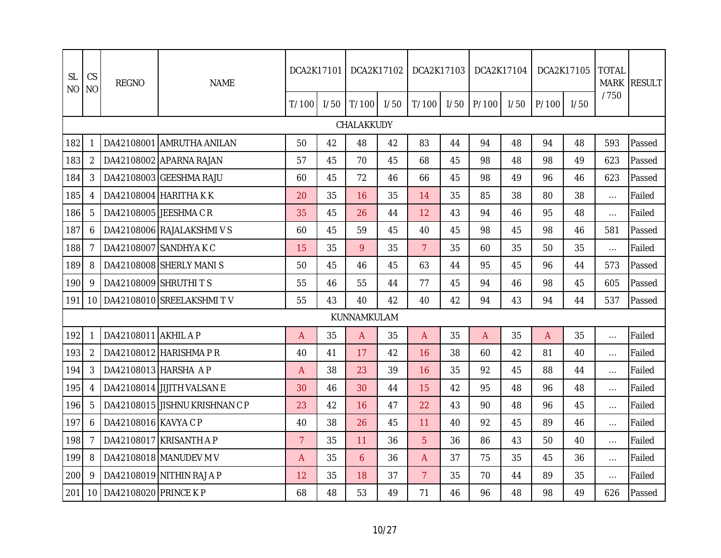| <b>SL</b><br><b>NO</b> | CS<br><b>NO</b> | <b>REGNO</b>             | <b>NAME</b>                      | DCA2K17101     |      | DCA2K17102  |      | DCA2K17103     |      | DCA2K17104 |      |       | DCA2K17105 | <b>TOTAL</b><br><b>MARK</b> | <b>RESULT</b> |
|------------------------|-----------------|--------------------------|----------------------------------|----------------|------|-------------|------|----------------|------|------------|------|-------|------------|-----------------------------|---------------|
|                        |                 |                          |                                  | T/100          | 1/50 | T/100       | 1/50 | T/100          | I/50 | P/100      | I/50 | P/100 | 1/50       | /750                        |               |
|                        |                 |                          |                                  |                |      | CHALAKKUDY  |      |                |      |            |      |       |            |                             |               |
| 182                    |                 |                          | DA42108001 AMRUTHA ANILAN        | 50             | 42   | 48          | 42   | 83             | 44   | 94         | 48   | 94    | 48         | 593                         | Passed        |
| 183                    | 2               |                          | DA42108002 APARNA RAJAN          | 57             | 45   | 70          | 45   | 68             | 45   | 98         | 48   | 98    | 49         | 623                         | Passed        |
| 184                    | 3               |                          | DA42108003 GEESHMA RAJU          | 60             | 45   | 72          | 46   | 66             | 45   | 98         | 49   | 96    | 46         | 623                         | Passed        |
| 185                    | 4               |                          | DA42108004 HARITHA KK            | 20             | 35   | 16          | 35   | 14             | 35   | 85         | 38   | 80    | 38         | $\cdots$                    | Failed        |
| 186                    | 5               |                          | DA42108005 JEESHMA CR            | 35             | 45   | 26          | 44   | 12             | 43   | 94         | 46   | 95    | 48         | $\ldots$                    | Failed        |
| 187                    | 6               |                          | DA42108006 RAJALAKSHMIVS         | 60             | 45   | 59          | 45   | 40             | 45   | 98         | 45   | 98    | 46         | 581                         | Passed        |
| 188                    | 7               |                          | DA42108007 SANDHYA K C           | 15             | 35   | 9           | 35   | 7 <sup>1</sup> | 35   | 60         | 35   | 50    | 35         | $\ldots$                    | Failed        |
| 189                    | 8               |                          | DA42108008 SHERLY MANIS          | 50             | 45   | 46          | 45   | 63             | 44   | 95         | 45   | 96    | 44         | 573                         | Passed        |
| 190                    | 9               | DA42108009 SHRUTHI T S   |                                  | 55             | 46   | 55          | 44   | 77             | 45   | 94         | 46   | 98    | 45         | 605                         | Passed        |
| 191                    |                 |                          | 10   DA42108010   SREELAKSHMIT V | 55             | 43   | 40          | 42   | 40             | 42   | 94         | 43   | 94    | 44         | 537                         | Passed        |
|                        |                 |                          |                                  |                |      | KUNNAMKULAM |      |                |      |            |      |       |            |                             |               |
| 192                    | 1               | DA42108011 AKHIL A P     |                                  | A              | 35   | A           | 35   | A              | 35   | A          | 35   | A     | 35         | $\ldots$                    | Failed        |
| 193                    | 2               |                          | DA42108012 HARISHMA PR           | 40             | 41   | 17          | 42   | 16             | 38   | 60         | 42   | 81    | 40         | $\cdots$                    | Failed        |
| 194                    | 3               | DA42108013 HARSHA AP     |                                  | A              | 38   | 23          | 39   | 16             | 35   | 92         | 45   | 88    | 44         | $\ldots$                    | Failed        |
| 195                    | 4               |                          | DA42108014 JJJJTH VALSAN E       | 30             | 46   | 30          | 44   | 15             | 42   | 95         | 48   | 96    | 48         | $\ldots$                    | Failed        |
| 196                    | 5               |                          | DA42108015 JISHNU KRISHNAN C P   | 23             | 42   | 16          | 47   | 22             | 43   | 90         | 48   | 96    | 45         | $\ldots$                    | Failed        |
| 197                    | 6               | DA42108016 KAVYA C P     |                                  | 40             | 38   | 26          | 45   | 11             | 40   | 92         | 45   | 89    | 46         | $\ldots$                    | Failed        |
| 198                    | 7               |                          | DA42108017 KRISANTH A P          | $\overline{7}$ | 35   | 11          | 36   | 5              | 36   | 86         | 43   | 50    | 40         | $\cdots$                    | Failed        |
| 199                    | 8               |                          | DA42108018 MANUDEV M V           | A              | 35   | 6           | 36   | A              | 37   | 75         | 35   | 45    | 36         | $\ldots$                    | Failed        |
| 200                    | 9               |                          | DA42108019 NITHIN RAJ A P        | 12             | 35   | 18          | 37   | $\overline{7}$ | 35   | 70         | 44   | 89    | 35         | $\ldots$                    | Failed        |
| 201                    |                 | 10 DA42108020 PRINCE K P |                                  | 68             | 48   | 53          | 49   | 71             | 46   | 96         | 48   | 98    | 49         | 626                         | Passed        |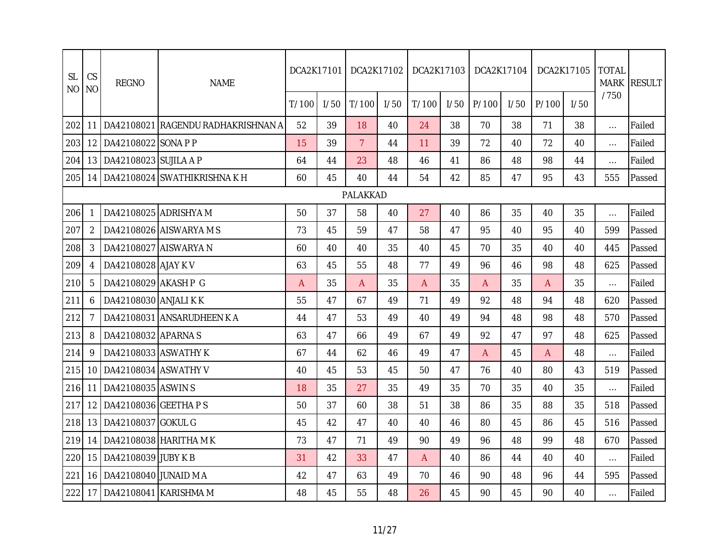| <b>SL</b><br><b>NO</b> | CS<br><b>NO</b> | <b>REGNO</b>                 | <b>NAME</b>                        | DCA2K17101 |      |                | DCA2K17102 | DCA2K17103   |      | DCA2K17104     |      |       | DCA2K17105 | <b>TOTAL</b><br><b>MARK</b> | <b>RESULT</b> |
|------------------------|-----------------|------------------------------|------------------------------------|------------|------|----------------|------------|--------------|------|----------------|------|-------|------------|-----------------------------|---------------|
|                        |                 |                              |                                    | T/100      | 1/50 | T/100          | 1/50       | T/100        | 1/50 | P/100          | 1/50 | P/100 | 1/50       | /750                        |               |
| 202                    | 11 I            |                              | DA42108021 RAGENDU RADHAKRISHNAN A | 52         | 39   | 18             | 40         | 24           | 38   | 70             | 38   | 71    | 38         | $\ldots$                    | Failed        |
| 203                    | 12 <sub>1</sub> | DA42108022 SONA P P          |                                    | 15         | 39   | $\overline{7}$ | 44         | 11           | 39   | 72             | 40   | 72    | 40         | $\dots$                     | Failed        |
| 204                    |                 | 13   DA42108023 SUJILA A P   |                                    | 64         | 44   | 23             | 48         | 46           | 41   | 86             | 48   | 98    | 44         | $\ldots$                    | Failed        |
| 205                    |                 |                              | 14   DA42108024 SWATHIKRISHNA K H  | 60         | 45   | 40             | 44         | 54           | 42   | 85             | 47   | 95    | 43         | 555                         | Passed        |
|                        |                 |                              |                                    |            |      | PALAKKAD       |            |              |      |                |      |       |            |                             |               |
| 206                    | 1               |                              | DA42108025 ADRISHYA M              | 50         | 37   | 58             | 40         | 27           | 40   | 86             | 35   | 40    | 35         | $\cdots$                    | Failed        |
| 207                    | 2               |                              | DA42108026 AISWARYA M S            | 73         | 45   | 59             | 47         | 58           | 47   | 95             | 40   | 95    | 40         | 599                         | Passed        |
| 208                    | 3               |                              | DA42108027 AISWARYA N              | 60         | 40   | 40             | 35         | 40           | 45   | 70             | 35   | 40    | 40         | 445                         | Passed        |
| 209                    | 4               | DA42108028 AJAY KV           |                                    | 63         | 45   | 55             | 48         | 77           | 49   | 96             | 46   | 98    | 48         | 625                         | Passed        |
| 210                    | 5               | DA42108029 AKASH P G         |                                    | A          | 35   | $\mathsf{A}$   | 35         | $\mathsf{A}$ | 35   | $\overline{A}$ | 35   | A     | 35         | $\ldots$                    | Failed        |
| 211                    | 6               | DA42108030 ANJALI KK         |                                    | 55         | 47   | 67             | 49         | 71           | 49   | 92             | 48   | 94    | 48         | 620                         | Passed        |
| 212                    | 7               |                              | DA42108031 ANSARUDHEEN K A         | 44         | 47   | 53             | 49         | 40           | 49   | 94             | 48   | 98    | 48         | 570                         | Passed        |
| 213                    | 8               | DA42108032 APARNA S          |                                    | 63         | 47   | 66             | 49         | 67           | 49   | 92             | 47   | 97    | 48         | 625                         | Passed        |
| 214                    | 9               | DA42108033 ASWATHY K         |                                    | 67         | 44   | 62             | 46         | 49           | 47   | A              | 45   | A     | 48         | $\cdots$                    | Failed        |
| 215                    |                 | 10 DA42108034 ASWATHY V      |                                    | 40         | 45   | 53             | 45         | 50           | 47   | 76             | 40   | 80    | 43         | 519                         | Passed        |
| 216                    | 11              | DA42108035 ASWINS            |                                    | 18         | 35   | 27             | 35         | 49           | 35   | 70             | 35   | 40    | 35         | $\cdots$                    | Failed        |
| 217                    |                 | 12   DA42108036   GEETHA P S |                                    | 50         | 37   | 60             | 38         | 51           | 38   | 86             | 35   | 88    | 35         | 518                         | Passed        |
| 218                    | 13 <sup>1</sup> | DA42108037 GOKUL G           |                                    | 45         | 42   | 47             | 40         | 40           | 46   | 80             | 45   | 86    | 45         | 516                         | Passed        |
| 219                    |                 |                              | 14   DA42108038 HARITHA M K        | 73         | 47   | 71             | 49         | 90           | 49   | 96             | 48   | 99    | 48         | 670                         | Passed        |
| 220                    | 15 <sup>1</sup> | DA42108039 JUBY K B          |                                    | 31         | 42   | 33             | 47         | A            | 40   | 86             | 44   | 40    | 40         | $\cdots$                    | Failed        |
| 221                    | 16 I            | DA42108040 JUNAID M A        |                                    | 42         | 47   | 63             | 49         | 70           | 46   | 90             | 48   | 96    | 44         | 595                         | Passed        |
| 222                    | 17              |                              | DA42108041 KARISHMA M              | 48         | 45   | 55             | 48         | 26           | 45   | 90             | 45   | 90    | 40         | $\cdots$                    | Failed        |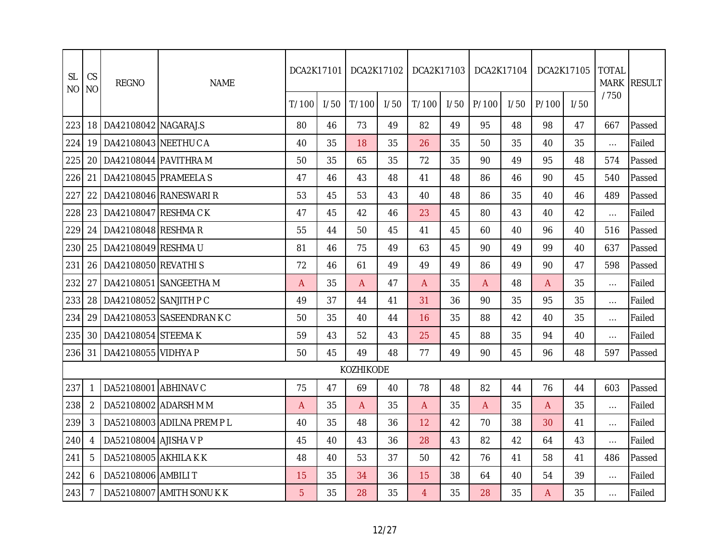| <b>SL</b><br><b>NO</b> | CS<br><b>NO</b> | <b>REGNO</b>          | <b>NAME</b>               | DCA2K17101 |      | DCA2K17102 |      | DCA2K17103   |      | DCA2K17104 |      | DCA2K17105 |      | <b>TOTAL</b> | MARK RESULT |
|------------------------|-----------------|-----------------------|---------------------------|------------|------|------------|------|--------------|------|------------|------|------------|------|--------------|-------------|
|                        |                 |                       |                           | T/100      | 1/50 | T/100      | 1/50 | T/100        | 1/50 | P/100      | 1/50 | P/100      | 1/50 | /750         |             |
| 223                    | 18              | DA42108042 NAGARAJ.S  |                           | 80         | 46   | 73         | 49   | 82           | 49   | 95         | 48   | 98         | 47   | 667          | Passed      |
| 224                    | 19              | DA42108043 NEETHU C A |                           | 40         | 35   | 18         | 35   | 26           | 35   | 50         | 35   | 40         | 35   | $\cdots$     | Failed      |
| 225                    | 20              | DA42108044 PAVITHRA M |                           | 50         | 35   | 65         | 35   | 72           | 35   | 90         | 49   | 95         | 48   | 574          | Passed      |
| 226                    | 21              | DA42108045 PRAMEELA S |                           | 47         | 46   | 43         | 48   | 41           | 48   | 86         | 46   | 90         | 45   | 540          | Passed      |
| 227                    | 22              |                       | DA42108046 RANESWARI R    | 53         | 45   | 53         | 43   | 40           | 48   | 86         | 35   | 40         | 46   | 489          | Passed      |
| 228                    | 23              | DA42108047 RESHMA CK  |                           | 47         | 45   | 42         | 46   | 23           | 45   | 80         | 43   | 40         | 42   | $\cdots$     | Failed      |
| 229                    | 24              | DA42108048 RESHMAR    |                           | 55         | 44   | 50         | 45   | 41           | 45   | 60         | 40   | 96         | 40   | 516          | Passed      |
| 230                    | 25              | DA42108049 RESHMA U   |                           | 81         | 46   | 75         | 49   | 63           | 45   | 90         | 49   | 99         | 40   | 637          | Passed      |
| 231                    | 26              | DA42108050 REVATHIS   |                           | 72         | 46   | 61         | 49   | 49           | 49   | 86         | 49   | 90         | 47   | 598          | Passed      |
| 232                    | 27              |                       | DA42108051 SANGEETHA M    | A          | 35   | A          | 47   | A            | 35   | A          | 48   | A          | 35   | $\cdots$     | Failed      |
| 233                    | 28              | DA42108052 SANJITH PC |                           | 49         | 37   | 44         | 41   | 31           | 36   | 90         | 35   | 95         | 35   | $\cdots$     | Failed      |
| 234                    | 29              |                       | DA42108053 SASEENDRAN K C | 50         | 35   | 40         | 44   | 16           | 35   | 88         | 42   | 40         | 35   | $\cdots$     | Failed      |
| 235                    | 30              | DA42108054 STEEMAK    |                           | 59         | 43   | 52         | 43   | 25           | 45   | 88         | 35   | 94         | 40   | $\cdots$     | Failed      |
| 236                    | 31              | DA42108055 VIDHYA P   |                           | 50         | 45   | 49         | 48   | 77           | 49   | 90         | 45   | 96         | 48   | 597          | Passed      |
|                        |                 |                       |                           |            |      | KOZHIKODE  |      |              |      |            |      |            |      |              |             |
| 237                    |                 | DA52108001 ABHINAV C  |                           | 75         | 47   | 69         | 40   | 78           | 48   | 82         | 44   | 76         | 44   | 603          | Passed      |
| 238                    | $\overline{2}$  |                       | DA52108002 ADARSH M M     | A          | 35   | A          | 35   | $\mathsf{A}$ | 35   | A          | 35   | A          | 35   | $\cdots$     | Failed      |
| 239                    | 3               |                       | DA52108003 ADILNA PREM PL | 40         | 35   | 48         | 36   | 12           | 42   | 70         | 38   | 30         | 41   | $\cdots$     | Failed      |
| 240                    | 4               | DA52108004 AJISHA V P |                           | 45         | 40   | 43         | 36   | 28           | 43   | 82         | 42   | 64         | 43   | $\cdots$     | Failed      |
| 241                    | 5               | DA52108005 AKHILA KK  |                           | 48         | 40   | 53         | 37   | 50           | 42   | 76         | 41   | 58         | 41   | 486          | Passed      |
| 242                    | 6               | DA52108006 AMBILI T   |                           | 15         | 35   | 34         | 36   | 15           | 38   | 64         | 40   | 54         | 39   | $\cdots$     | Failed      |
| 243                    |                 |                       | DA52108007 AMITH SONUKK   | 5          | 35   | 28         | 35   | 4            | 35   | 28         | 35   | A          | 35   | $\cdots$     | Failed      |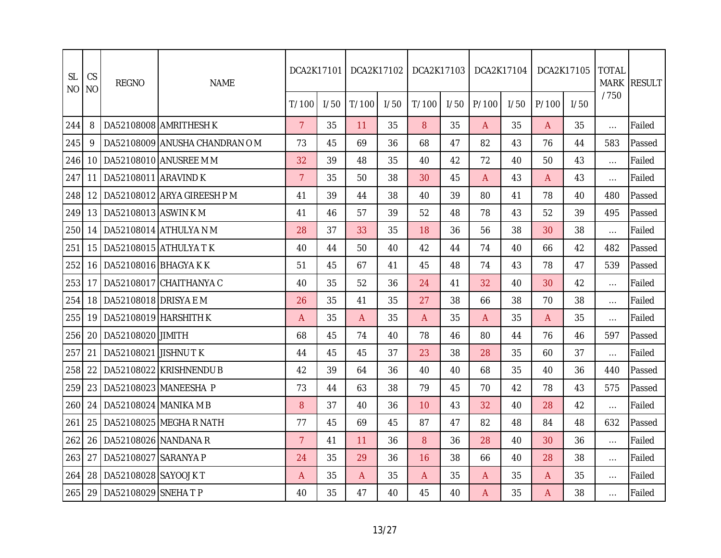| <b>SL</b><br><b>NO</b> | CS<br>N <sub>O</sub> | <b>REGNO</b>          | <b>NAME</b>                   | DCA2K17101     |      | DCA2K17102 |      | DCA2K17103 |      | DCA2K17104     |      |       | DCA2K17105 | <b>TOTAL</b> | MARK RESULT |
|------------------------|----------------------|-----------------------|-------------------------------|----------------|------|------------|------|------------|------|----------------|------|-------|------------|--------------|-------------|
|                        |                      |                       |                               | T/100          | 1/50 | T/100      | 1/50 | T/100      | 1/50 | P/100          | 1/50 | P/100 | 1/50       | /750         |             |
| 244                    | 8                    |                       | DA52108008 AMRITHESH K        | $\overline{7}$ | 35   | 11         | 35   | 8          | 35   | $\overline{A}$ | 35   | A     | 35         | $\cdots$     | Failed      |
| 245                    | 9                    |                       | DA52108009 ANUSHA CHANDRAN OM | 73             | 45   | 69         | 36   | 68         | 47   | 82             | 43   | 76    | 44         | 583          | Passed      |
| 246                    | 10 <sup>1</sup>      |                       | DA52108010 ANUSREE M M        | 32             | 39   | 48         | 35   | 40         | 42   | 72             | 40   | 50    | 43         | $\cdots$     | Failed      |
| 247                    | 11                   | DA52108011 ARAVIND K  |                               | $\overline{7}$ | 35   | 50         | 38   | 30         | 45   | $\mathsf{A}$   | 43   | A     | 43         | $\cdots$     | Failed      |
| 248                    | 12                   |                       | DA52108012 ARYA GIREESH P M   | 41             | 39   | 44         | 38   | 40         | 39   | 80             | 41   | 78    | 40         | 480          | Passed      |
| 249                    | 13 <sup>1</sup>      | DA52108013 ASWIN KM   |                               | 41             | 46   | 57         | 39   | 52         | 48   | 78             | 43   | 52    | 39         | 495          | Passed      |
| 250                    | 14                   |                       | DA52108014 ATHULYA N M        | 28             | 37   | 33         | 35   | 18         | 36   | 56             | 38   | 30    | 38         | $\cdots$     | Failed      |
| 251                    |                      |                       | 15   DA52108015   ATHULYA T K | 40             | 44   | 50         | 40   | 42         | 44   | 74             | 40   | 66    | 42         | 482          | Passed      |
| 252                    | 16                   | DA52108016 BHAGYA K K |                               | 51             | 45   | 67         | 41   | 45         | 48   | 74             | 43   | 78    | 47         | 539          | Passed      |
| 253                    | 17 I                 |                       | DA52108017 CHAITHANYAC        | 40             | 35   | 52         | 36   | 24         | 41   | 32             | 40   | 30    | 42         | $\cdots$     | Failed      |
| 254                    | 18                   | DA52108018 DRISYA E M |                               | 26             | 35   | 41         | 35   | 27         | 38   | 66             | 38   | 70    | 38         | $\cdots$     | Failed      |
| 255                    | 19                   | DA52108019 HARSHITH K |                               | A              | 35   | A          | 35   | A          | 35   | $\mathsf{A}$   | 35   | A     | 35         | $\cdots$     | Failed      |
| 256                    | 20                   | DA52108020 JIMITH     |                               | 68             | 45   | 74         | 40   | 78         | 46   | 80             | 44   | 76    | 46         | 597          | Passed      |
| 257                    | 21                   | DA52108021 JISHNU TK  |                               | 44             | 45   | 45         | 37   | 23         | 38   | 28             | 35   | 60    | 37         | $\cdots$     | Failed      |
| 258                    | 22                   |                       | DA52108022 KRISHNENDU B       | 42             | 39   | 64         | 36   | 40         | 40   | 68             | 35   | 40    | 36         | 440          | Passed      |
| 259                    | 23                   |                       | DA52108023 MANEESHA P         | 73             | 44   | 63         | 38   | 79         | 45   | 70             | 42   | 78    | 43         | 575          | Passed      |
| 260                    | 24                   | DA52108024 MANIKA M B |                               | 8              | 37   | 40         | 36   | 10         | 43   | 32             | 40   | 28    | 42         | $\cdots$     | Failed      |
| 261                    | 25                   |                       | DA52108025 MEGHARNATH         | 77             | 45   | 69         | 45   | 87         | 47   | 82             | 48   | 84    | 48         | 632          | Passed      |
| 262                    | 26                   | DA52108026 NANDANA R  |                               | $\overline{7}$ | 41   | 11         | 36   | 8          | 36   | 28             | 40   | 30    | 36         | $\cdots$     | Failed      |
| 263                    | 27                   | DA52108027 SARANYA P  |                               | 24             | 35   | 29         | 36   | 16         | 38   | 66             | 40   | 28    | 38         | $\cdots$     | Failed      |
| 264                    | 28                   | DA52108028 SAYOOJ KT  |                               | Α              | 35   | A          | 35   | A          | 35   | A              | 35   | A     | 35         | $\cdots$     | Failed      |
| 265                    | 29                   | DA52108029 SNEHA T P  |                               | 40             | 35   | 47         | 40   | 45         | 40   | A              | 35   | A     | 38         | $\cdots$     | Failed      |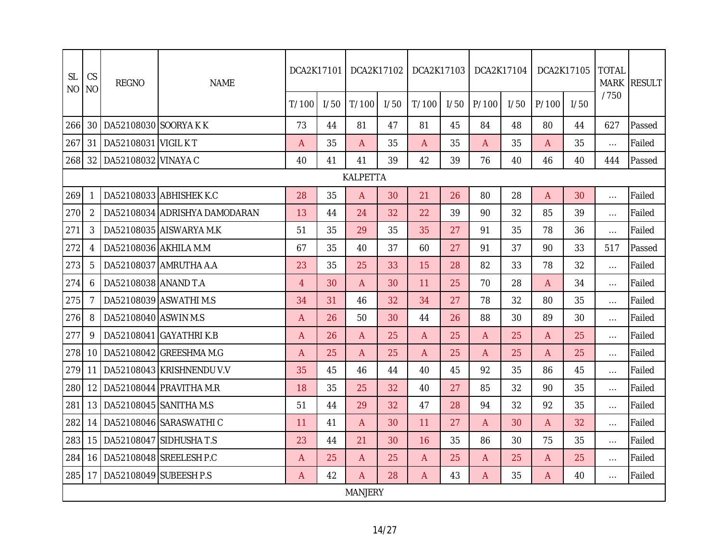| <b>SL</b><br>NO. | CS<br>N <sub>O</sub> | <b>REGNO</b>                  | <b>NAME</b>                   | DCA2K17101     |      | DCA2K17102      |      | DCA2K17103 |      | DCA2K17104 |      |       | DCA2K17105 | <b>TOTAL</b><br><b>MARK</b> | <b>RESULT</b> |
|------------------|----------------------|-------------------------------|-------------------------------|----------------|------|-----------------|------|------------|------|------------|------|-------|------------|-----------------------------|---------------|
|                  |                      |                               |                               | T/100          | 1/50 | T/100           | I/50 | T/100      | 1/50 | P/100      | 1/50 | P/100 | 1/50       | /750                        |               |
| 266              |                      | 30 DA52108030 SOORYAKK        |                               | 73             | 44   | 81              | 47   | 81         | 45   | 84         | 48   | 80    | 44         | 627                         | Passed        |
| 267              | 31                   | DA52108031 VIGIL KT           |                               | A              | 35   | A               | 35   | A          | 35   | A          | 35   | A     | 35         | $\ldots$                    | Failed        |
| 268              |                      | 32   DA52108032   VINAYA C    |                               | 40             | 41   | 41              | 39   | 42         | 39   | 76         | 40   | 46    | 40         | 444                         | Passed        |
|                  |                      |                               |                               |                |      | <b>KALPETTA</b> |      |            |      |            |      |       |            |                             |               |
| 269              | 1                    |                               | DA52108033 ABHISHEK K.C       | 28             | 35   | A               | 30   | 21         | 26   | 80         | 28   | A     | 30         | $\ldots$                    | Failed        |
| 270              | $\overline{2}$       |                               | DA52108034 ADRISHYA DAMODARAN | 13             | 44   | 24              | 32   | 22         | 39   | 90         | 32   | 85    | 39         | $\ldots$                    | Failed        |
| 271              | 3                    |                               | DA52108035 AISWARYA M.K       | 51             | 35   | 29              | 35   | 35         | 27   | 91         | 35   | 78    | 36         | $\ldots$                    | Failed        |
| 272              | 4                    | DA52108036 AKHILA M.M         |                               | 67             | 35   | 40              | 37   | 60         | 27   | 91         | 37   | 90    | 33         | 517                         | Passed        |
| 273              | 5                    |                               | DA52108037 AMRUTHA A.A        | 23             | 35   | 25              | 33   | 15         | 28   | 82         | 33   | 78    | 32         | $\ldots$                    | Failed        |
| 274              | 6                    | DA52108038 ANAND T.A          |                               | $\overline{4}$ | 30   | A               | 30   | 11         | 25   | 70         | 28   | A     | 34         | $\ldots$                    | Failed        |
| 275              | 7                    |                               | DA52108039 ASWATHI M.S        | 34             | 31   | 46              | 32   | 34         | 27   | 78         | 32   | 80    | 35         | $\dots$                     | Failed        |
| 276              | 8                    | DA52108040 ASWIN M.S          |                               | A              | 26   | 50              | 30   | 44         | 26   | 88         | 30   | 89    | 30         | $\cdots$                    | Failed        |
| 277              | 9                    |                               | DA52108041 GAYATHRI K.B       | A              | 26   | A               | 25   | A          | 25   | A          | 25   | A     | 25         | $\cdots$                    | Failed        |
| 278              |                      |                               | 10   DA52108042 GREESHMA M.G  | A              | 25   | A               | 25   | A          | 25   | Α          | 25   | A     | 25         | $\cdots$                    | Failed        |
| 279              | 11                   |                               | DA52108043 KRISHNENDU V.V     | 35             | 45   | 46              | 44   | 40         | 45   | 92         | 35   | 86    | 45         | $\ldots$                    | Failed        |
| 280              | 12 <sup>1</sup>      |                               | DA52108044 PRAVITHA M.R       | 18             | 35   | 25              | 32   | 40         | 27   | 85         | 32   | 90    | 35         | $\dots$                     | Failed        |
| 281              |                      | 13   DA52108045   SANITHA M.S |                               | 51             | 44   | 29              | 32   | 47         | 28   | 94         | 32   | 92    | 35         | $\ldots$                    | Failed        |
| 282              | 14 <sup>1</sup>      |                               | DA52108046 SARASWATHI C       | 11             | 41   | A               | 30   | 11         | 27   | A          | 30   | A     | 32         | $\ldots$                    | Failed        |
| 283              | 15 <sub>1</sub>      |                               | DA52108047 SIDHUSHA T.S       | 23             | 44   | 21              | 30   | 16         | 35   | 86         | 30   | 75    | 35         | $\ldots$                    | Failed        |
| 284              |                      |                               | 16 DA52108048 SREELESH P.C    | A              | 25   | A               | 25   | A          | 25   | A          | 25   | A     | 25         | $\dots$                     | Failed        |
| 285              | 17 I                 | DA52108049 SUBEESH P.S        |                               | A              | 42   | Α               | 28   | A          | 43   | A          | 35   | A     | 40         | $\cdots$                    | Failed        |
|                  |                      |                               |                               |                |      | <b>MANJERY</b>  |      |            |      |            |      |       |            |                             |               |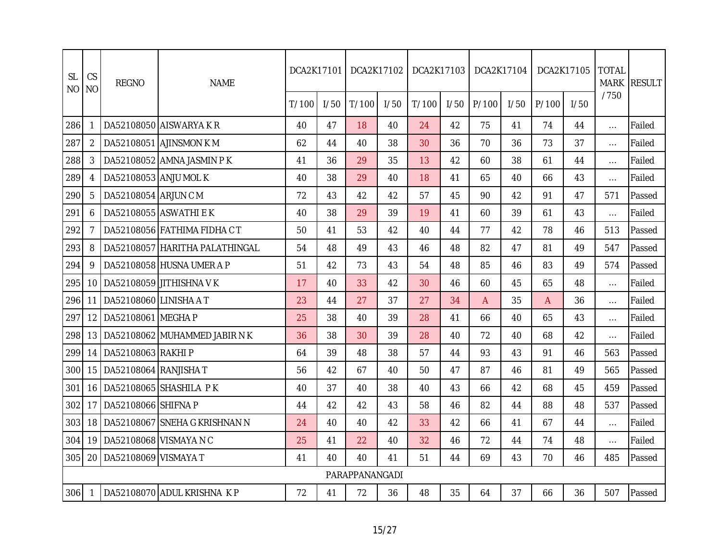| <b>SL</b><br>N <sub>O</sub> | CS<br><b>NO</b> | <b>REGNO</b>                  | <b>NAME</b>                    | DCA2K17101 |      |                | DCA2K17102 | DCA2K17103 |      | DCA2K17104 |      |       | DCA2K17105 | <b>TOTAL</b><br><b>MARK</b> | <b>RESULT</b> |
|-----------------------------|-----------------|-------------------------------|--------------------------------|------------|------|----------------|------------|------------|------|------------|------|-------|------------|-----------------------------|---------------|
|                             |                 |                               |                                | T/100      | 1/50 | T/100          | 1/50       | T/100      | I/50 | P/100      | 1/50 | P/100 | I/50       | /750                        |               |
| 286                         |                 |                               | DA52108050 AISWARYA KR         | 40         | 47   | 18             | 40         | 24         | 42   | 75         | 41   | 74    | 44         | $\cdots$                    | Failed        |
| 287                         | 2               |                               | DA52108051 AJINSMON K M        | 62         | 44   | 40             | 38         | 30         | 36   | 70         | 36   | 73    | 37         | $\ldots$                    | Failed        |
| 288                         | 3               |                               | DA52108052 AMNA JASMIN PK      | 41         | 36   | 29             | 35         | 13         | 42   | 60         | 38   | 61    | 44         | $\cdots$                    | Failed        |
| 289                         | 4               | DA52108053 ANJU MOL K         |                                | 40         | 38   | 29             | 40         | 18         | 41   | 65         | 40   | 66    | 43         | $\ldots$                    | Failed        |
| 290                         | 5               | DA52108054 ARJUN C M          |                                | 72         | 43   | 42             | 42         | 57         | 45   | 90         | 42   | 91    | 47         | 571                         | Passed        |
| 291                         | 6               |                               | DA52108055 ASWATHI E K         | 40         | 38   | 29             | 39         | 19         | 41   | 60         | 39   | 61    | 43         | $\ldots$                    | Failed        |
| 292                         | 7               |                               | DA52108056 FATHIMA FIDHA CT    | 50         | 41   | 53             | 42         | 40         | 44   | 77         | 42   | 78    | 46         | 513                         | Passed        |
| 293                         | 8               |                               | DA52108057 HARITHA PALATHINGAL | 54         | 48   | 49             | 43         | 46         | 48   | 82         | 47   | 81    | 49         | 547                         | Passed        |
| 294                         | 9               |                               | DA52108058 HUSNA UMER A P      | 51         | 42   | 73             | 43         | 54         | 48   | 85         | 46   | 83    | 49         | 574                         | Passed        |
| 295                         | 10              |                               | DA52108059 JITHISHNA VK        | 17         | 40   | 33             | 42         | 30         | 46   | 60         | 45   | 65    | 48         | $\ldots$                    | Failed        |
| 296                         | 11              | DA52108060 LINISHA AT         |                                | 23         | 44   | 27             | 37         | 27         | 34   | A          | 35   | A     | 36         | $\cdots$                    | Failed        |
| 297                         | 12              | DA52108061 MEGHA P            |                                | 25         | 38   | 40             | 39         | 28         | 41   | 66         | 40   | 65    | 43         | $\cdots$                    | Failed        |
| 298                         | 13              |                               | DA52108062 MUHAMMED JABIR N K  | 36         | 38   | 30             | 39         | 28         | 40   | 72         | 40   | 68    | 42         | $\cdots$                    | Failed        |
| 299                         | 14              | DA52108063 RAKHI P            |                                | 64         | 39   | 48             | 38         | 57         | 44   | 93         | 43   | 91    | 46         | 563                         | Passed        |
| 300                         | 15              | DA52108064 RANJISHA T         |                                | 56         | 42   | 67             | 40         | 50         | 47   | 87         | 46   | 81    | 49         | 565                         | Passed        |
| 301                         | 16              |                               | DA52108065 SHASHILA PK         | 40         | 37   | 40             | 38         | 40         | 43   | 66         | 42   | 68    | 45         | 459                         | Passed        |
| 302                         | 17              | DA52108066 SHIFNA P           |                                | 44         | 42   | 42             | 43         | 58         | 46   | 82         | 44   | 88    | 48         | 537                         | Passed        |
| 303                         | 18              |                               | DA52108067 SNEHA G KRISHNAN N  | 24         | 40   | 40             | 42         | 33         | 42   | 66         | 41   | 67    | 44         | $\ldots$                    | Failed        |
| 304                         |                 | 19   DA52108068   VISMAYA N C |                                | 25         | 41   | 22             | 40         | 32         | 46   | 72         | 44   | 74    | 48         | $\ldots$                    | Failed        |
| 305                         | 20 <sup>1</sup> | DA52108069 VISMAYA T          |                                | 41         | 40   | 40             | 41         | 51         | 44   | 69         | 43   | 70    | 46         | 485                         | Passed        |
|                             |                 |                               |                                |            |      | PARAPPANANGADI |            |            |      |            |      |       |            |                             |               |
| 306                         |                 |                               | DA52108070 ADUL KRISHNA KP     | 72         | 41   | 72             | 36         | 48         | 35   | 64         | 37   | 66    | 36         | 507                         | Passed        |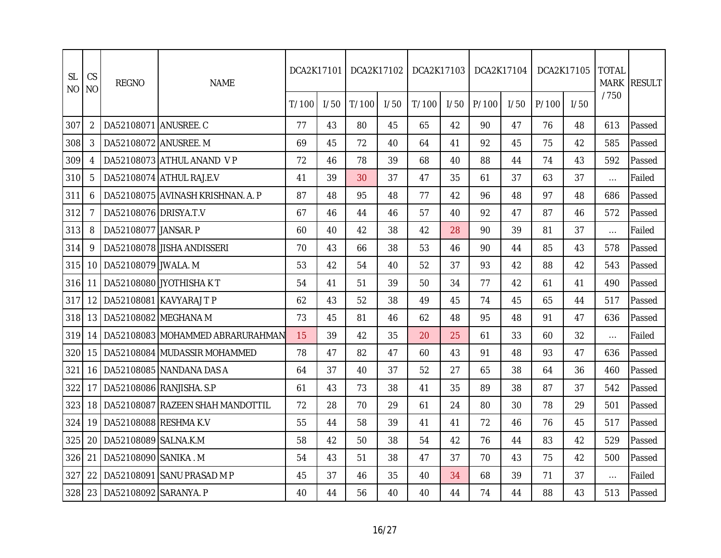| <b>SL</b><br><b>NO</b> | CS<br><b>NO</b> | <b>REGNO</b>          | <b>NAME</b>                       | DCA2K17101 |      | DCA2K17102 |      | DCA2K17103 |      | DCA2K17104 |      | DCA2K17105 |      | <b>TOTAL</b> | MARK RESULT |
|------------------------|-----------------|-----------------------|-----------------------------------|------------|------|------------|------|------------|------|------------|------|------------|------|--------------|-------------|
|                        |                 |                       |                                   | T/100      | 1/50 | T/100      | 1/50 | T/100      | 1/50 | P/100      | 1/50 | P/100      | 1/50 | /750         |             |
| 307                    | 2               | DA52108071 ANUSREE. C |                                   | 77         | 43   | 80         | 45   | 65         | 42   | 90         | 47   | 76         | 48   | 613          | Passed      |
| 308                    | 3               | DA52108072 ANUSREE. M |                                   | 69         | 45   | 72         | 40   | 64         | 41   | 92         | 45   | 75         | 42   | 585          | Passed      |
| 309                    |                 |                       | DA52108073 ATHUL ANAND VP         | 72         | 46   | 78         | 39   | 68         | 40   | 88         | 44   | 74         | 43   | 592          | Passed      |
| 310                    | 5               |                       | DA52108074 ATHUL RAJ.E.V          | 41         | 39   | 30         | 37   | 47         | 35   | 61         | 37   | 63         | 37   | $\cdots$     | Failed      |
| 311                    | 6               |                       | DA52108075 AVINASH KRISHNAN. A. P | 87         | 48   | 95         | 48   | 77         | 42   | 96         | 48   | 97         | 48   | 686          | Passed      |
| 312                    | 7               | DA52108076 DRISYA.T.V |                                   | 67         | 46   | 44         | 46   | 57         | 40   | 92         | 47   | 87         | 46   | 572          | Passed      |
| 313                    | 8               | DA52108077 JANSAR. P  |                                   | 60         | 40   | 42         | 38   | 42         | 28   | 90         | 39   | 81         | 37   | $\cdots$     | Failed      |
| 314                    | 9               |                       | DA52108078 JISHA ANDISSERI        | 70         | 43   | 66         | 38   | 53         | 46   | 90         | 44   | 85         | 43   | 578          | Passed      |
| 315                    | 10              | DA52108079 JWALA. M   |                                   | 53         | 42   | 54         | 40   | 52         | 37   | 93         | 42   | 88         | 42   | 543          | Passed      |
| 316                    | 11              |                       | DA52108080 JYOTHISHA KT           | 54         | 41   | 51         | 39   | 50         | 34   | 77         | 42   | 61         | 41   | 490          | Passed      |
| 317                    | 12              |                       | DA52108081 KAVYARAJ T P           | 62         | 43   | 52         | 38   | 49         | 45   | 74         | 45   | 65         | 44   | 517          | Passed      |
| 318                    | 13              | DA52108082 MEGHANA M  |                                   | 73         | 45   | 81         | 46   | 62         | 48   | 95         | 48   | 91         | 47   | 636          | Passed      |
| 319                    | 14              |                       | DA52108083 MOHAMMED ABRARURAHMAN  | 15         | 39   | 42         | 35   | 20         | 25   | 61         | 33   | 60         | 32   | $\cdots$     | Failed      |
| 320                    | 15              |                       | DA52108084 MUDASSIR MOHAMMED      | 78         | 47   | 82         | 47   | 60         | 43   | 91         | 48   | 93         | 47   | 636          | Passed      |
| 321                    | 16              |                       | DA52108085 NANDANA DAS A          | 64         | 37   | 40         | 37   | 52         | 27   | 65         | 38   | 64         | 36   | 460          | Passed      |
| 322                    | 17              |                       | DA52108086 RANJISHA, S.P          | 61         | 43   | 73         | 38   | 41         | 35   | 89         | 38   | 87         | 37   | 542          | Passed      |
| 323                    | 18 <sup>1</sup> |                       | DA52108087 RAZEEN SHAH MANDOTTIL  | 72         | 28   | 70         | 29   | 61         | 24   | 80         | 30   | 78         | 29   | 501          | Passed      |
| 324                    | 19              | DA52108088 RESHMA K.V |                                   | 55         | 44   | 58         | 39   | 41         | 41   | 72         | 46   | 76         | 45   | 517          | Passed      |
| 325                    | 20              | DA52108089 SALNA.K.M  |                                   | 58         | 42   | 50         | 38   | 54         | 42   | 76         | 44   | 83         | 42   | 529          | Passed      |
| 326                    | 21              | DA52108090 SANIKA.M   |                                   | 54         | 43   | 51         | 38   | 47         | 37   | 70         | 43   | 75         | 42   | 500          | Passed      |
| 327                    | 22              |                       | DA52108091 SANU PRASAD M P        | 45         | 37   | 46         | 35   | 40         | 34   | 68         | 39   | 71         | 37   | $\cdots$     | Failed      |
| 328                    | 23              | DA52108092 SARANYA. P |                                   | 40         | 44   | 56         | 40   | 40         | 44   | 74         | 44   | 88         | 43   | 513          | Passed      |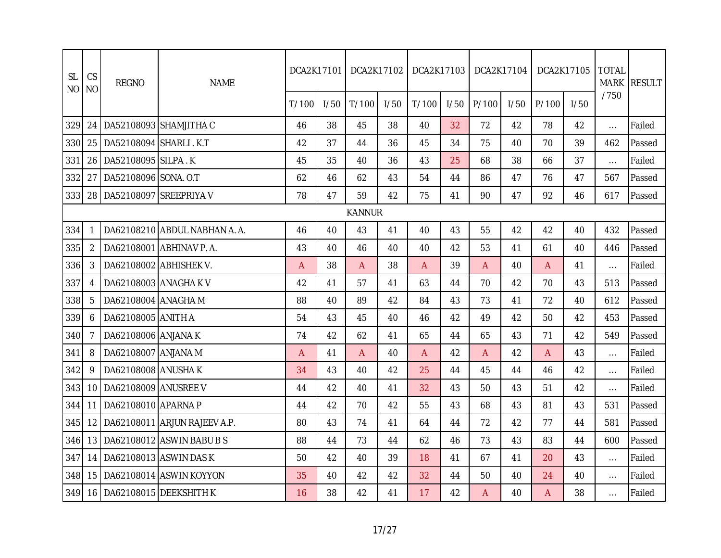| <b>SL</b><br>N <sub>O</sub> | CS<br><b>NO</b> | <b>REGNO</b>              | <b>NAME</b>                   | DCA2K17101 |      | DCA2K17102    |      | DCA2K17103 |      | DCA2K17104 |      |       | DCA2K17105 | <b>TOTAL</b><br><b>MARK</b> | <b>RESULT</b> |
|-----------------------------|-----------------|---------------------------|-------------------------------|------------|------|---------------|------|------------|------|------------|------|-------|------------|-----------------------------|---------------|
|                             |                 |                           |                               | T/100      | 1/50 | T/100         | 1/50 | T/100      | 1/50 | P/100      | 1/50 | P/100 | 1/50       | /750                        |               |
| 329                         | 24              |                           | DA52108093 SHAMJITHA C        | 46         | 38   | 45            | 38   | 40         | 32   | 72         | 42   | 78    | 42         | $\ldots$                    | Failed        |
| 330                         | 25              | DA52108094 SHARLI . K.T   |                               | 42         | 37   | 44            | 36   | 45         | 34   | 75         | 40   | 70    | 39         | 462                         | Passed        |
| 331                         | 26              | DA52108095 SILPA.K        |                               | 45         | 35   | 40            | 36   | 43         | 25   | 68         | 38   | 66    | 37         | $\ldots$                    | Failed        |
| 332                         | 27              | DA52108096 SONA. O.T      |                               | 62         | 46   | 62            | 43   | 54         | 44   | 86         | 47   | 76    | 47         | 567                         | Passed        |
| 333                         |                 | 28 DA52108097 SREEPRIYA V |                               | 78         | 47   | 59            | 42   | 75         | 41   | 90         | 47   | 92    | 46         | 617                         | Passed        |
|                             |                 |                           |                               |            |      | <b>KANNUR</b> |      |            |      |            |      |       |            |                             |               |
| 334                         | -1              |                           | DA62108210 ABDUL NABHAN A. A. | 46         | 40   | 43            | 41   | 40         | 43   | 55         | 42   | 42    | 40         | 432                         | Passed        |
| 335                         | $\overline{2}$  |                           | DA62108001 ABHINAV P. A.      | 43         | 40   | 46            | 40   | 40         | 42   | 53         | 41   | 61    | 40         | 446                         | Passed        |
| 336                         | 3               | DA62108002 ABHISHEK V.    |                               | A          | 38   | A             | 38   | A          | 39   | A          | 40   | A     | 41         | $\dots$                     | Failed        |
| 337                         | 4               | DA62108003 ANAGHA K V     |                               | 42         | 41   | 57            | 41   | 63         | 44   | 70         | 42   | 70    | 43         | 513                         | Passed        |
| 338                         | 5               | DA62108004 ANAGHA M       |                               | 88         | 40   | 89            | 42   | 84         | 43   | 73         | 41   | 72    | 40         | 612                         | Passed        |
| 339                         | 6               | DA62108005 ANITH A        |                               | 54         | 43   | 45            | 40   | 46         | 42   | 49         | 42   | 50    | 42         | 453                         | Passed        |
| 340                         |                 | DA62108006 ANJANA K       |                               | 74         | 42   | 62            | 41   | 65         | 44   | 65         | 43   | 71    | 42         | 549                         | Passed        |
| 341                         | 8               | DA62108007 ANJANA M       |                               | A          | 41   | A             | 40   | A          | 42   | A          | 42   | A     | 43         | $\ldots$                    | Failed        |
| 342                         | 9               | DA62108008 ANUSHA K       |                               | 34         | 43   | 40            | 42   | 25         | 44   | 45         | 44   | 46    | 42         | $\ldots$                    | Failed        |
| 343                         | 10 <sup>°</sup> | DA62108009 ANUSREE V      |                               | 44         | 42   | 40            | 41   | 32         | 43   | 50         | 43   | 51    | 42         | $\cdots$                    | Failed        |
| 344                         | 11              | DA62108010 APARNA P       |                               | 44         | 42   | 70            | 42   | 55         | 43   | 68         | 43   | 81    | 43         | 531                         | Passed        |
| 345                         | 12 <sup>2</sup> |                           | DA62108011 ARJUN RAJEEV A.P.  | 80         | 43   | 74            | 41   | 64         | 44   | 72         | 42   | 77    | 44         | 581                         | Passed        |
| 346                         | 13              |                           | DA62108012 ASWIN BABU B S     | 88         | 44   | 73            | 44   | 62         | 46   | 73         | 43   | 83    | 44         | 600                         | Passed        |
| 347                         | 14              |                           | DA62108013 ASWIN DAS K        | 50         | 42   | 40            | 39   | 18         | 41   | 67         | 41   | 20    | 43         | $\cdots$                    | Failed        |
| 348                         | 15              |                           | DA62108014 ASWIN KOYYON       | 35         | 40   | 42            | 42   | 32         | 44   | 50         | 40   | 24    | 40         | $\dots$                     | Failed        |
| 349                         |                 |                           | 16 DA62108015 DEEKSHITH K     | 16         | 38   | 42            | 41   | 17         | 42   | A          | 40   | A     | 38         | $\cdots$                    | Failed        |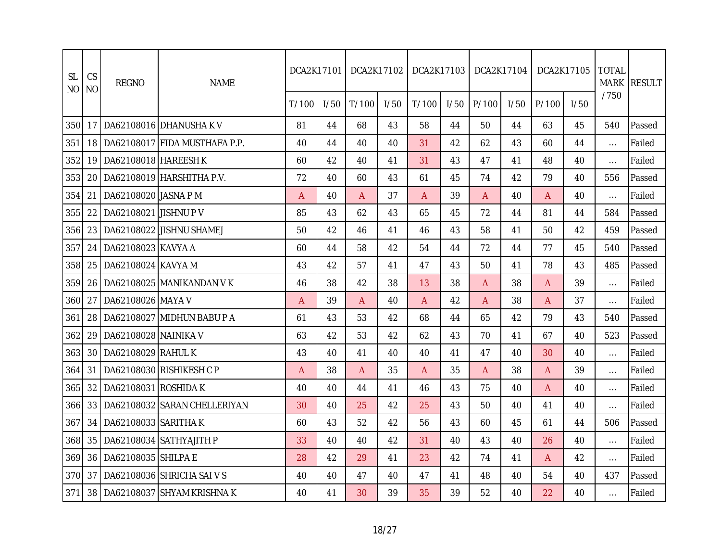| <b>SL</b><br><b>NO</b> | CS<br><b>NO</b> | <b>REGNO</b>          | <b>NAME</b>                   | DCA2K17101 |      | DCA2K17102 |      | DCA2K17103   |      | DCA2K17104 |      | DCA2K17105 |      | <b>TOTAL</b> | MARK RESULT |
|------------------------|-----------------|-----------------------|-------------------------------|------------|------|------------|------|--------------|------|------------|------|------------|------|--------------|-------------|
|                        |                 |                       |                               | T/100      | 1/50 | T/100      | 1/50 | T/100        | 1/50 | P/100      | 1/50 | P/100      | 1/50 | /750         |             |
| 350                    | 17              |                       | DA62108016 DHANUSHAK V        | 81         | 44   | 68         | 43   | 58           | 44   | 50         | 44   | 63         | 45   | 540          | Passed      |
| 351                    | 18              |                       | DA62108017 FIDA MUSTHAFA P.P. | 40         | 44   | 40         | 40   | 31           | 42   | 62         | 43   | 60         | 44   | $\cdots$     | Failed      |
| 352                    | 19              | DA62108018 HAREESH K  |                               | 60         | 42   | 40         | 41   | 31           | 43   | 47         | 41   | 48         | 40   | $\cdots$     | Failed      |
| 353                    | 20              |                       | DA62108019 HARSHITHA P.V.     | 72         | 40   | 60         | 43   | 61           | 45   | 74         | 42   | 79         | 40   | 556          | Passed      |
| 354                    | 21              | DA62108020 JASNA P M  |                               | A          | 40   | A          | 37   | A            | 39   | A          | 40   | A          | 40   | $\cdots$     | Failed      |
| 355                    | 22              | DA62108021 JISHNU P V |                               | 85         | 43   | 62         | 43   | 65           | 45   | 72         | 44   | 81         | 44   | 584          | Passed      |
| 356                    | 23              |                       | DA62108022 JISHNU SHAMEJ      | 50         | 42   | 46         | 41   | 46           | 43   | 58         | 41   | 50         | 42   | 459          | Passed      |
| 357                    | 24              | DA62108023 KAVYA A    |                               | 60         | 44   | 58         | 42   | 54           | 44   | 72         | 44   | 77         | 45   | 540          | Passed      |
| 358                    | 25              | DA62108024 KAVYA M    |                               | 43         | 42   | 57         | 41   | 47           | 43   | 50         | 41   | 78         | 43   | 485          | Passed      |
| 359                    | 26              |                       | DA62108025 MANIKANDAN VK      | 46         | 38   | 42         | 38   | 13           | 38   | A          | 38   | A          | 39   | $\cdots$     | Failed      |
| 360                    | 27              | DA62108026 MAYA V     |                               | A          | 39   | A          | 40   | $\mathsf{A}$ | 42   | A          | 38   | A          | 37   | $\cdots$     | Failed      |
| 361                    | 28              |                       | DA62108027 MIDHUN BABU P A    | 61         | 43   | 53         | 42   | 68           | 44   | 65         | 42   | 79         | 43   | 540          | Passed      |
| 362                    | 29              | DA62108028 NAINIKA V  |                               | 63         | 42   | 53         | 42   | 62           | 43   | 70         | 41   | 67         | 40   | 523          | Passed      |
| 363                    | 30              | DA62108029 RAHUL K    |                               | 43         | 40   | 41         | 40   | 40           | 41   | 47         | 40   | 30         | 40   | $\cdots$     | Failed      |
| 364                    | 31              |                       | DA62108030 RISHIKESH C P      | A          | 38   | A          | 35   | A            | 35   | A          | 38   | A          | 39   | $\cdots$     | Failed      |
| 365                    | 32              | DA62108031 ROSHIDA K  |                               | 40         | 40   | 44         | 41   | 46           | 43   | 75         | 40   | Α          | 40   | $\cdots$     | Failed      |
| 366                    | 33              |                       | DA62108032 SARAN CHELLERIYAN  | 30         | 40   | 25         | 42   | 25           | 43   | 50         | 40   | 41         | 40   | $\cdots$     | Failed      |
| 367                    | 34              | DA62108033 SARITHA K  |                               | 60         | 43   | 52         | 42   | 56           | 43   | 60         | 45   | 61         | 44   | 506          | Passed      |
| 368                    | 35              |                       | DA62108034 SATHYAJITH P       | 33         | 40   | 40         | 42   | 31           | 40   | 43         | 40   | 26         | 40   | $\cdots$     | Failed      |
| 369                    | 36              | DA62108035 SHILPA E   |                               | 28         | 42   | 29         | 41   | 23           | 42   | 74         | 41   | A          | 42   | $\cdots$     | Failed      |
| 370                    | 37              |                       | DA62108036 SHRICHA SAI V S    | 40         | 40   | 47         | 40   | 47           | 41   | 48         | 40   | 54         | 40   | 437          | Passed      |
| 371                    | 38              |                       | DA62108037 SHYAM KRISHNA K    | 40         | 41   | 30         | 39   | 35           | 39   | 52         | 40   | 22         | 40   | $\cdots$     | Failed      |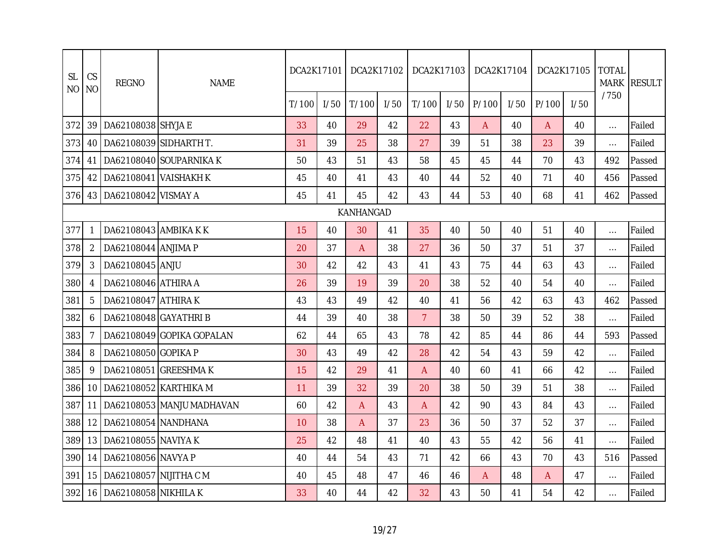| <b>SL</b><br>N <sub>O</sub> | CS<br><b>NO</b> | <b>REGNO</b>               | <b>NAME</b>               | DCA2K17101 |      | DCA2K17102 |      | DCA2K17103     |      | DCA2K17104     |      |              | DCA2K17105 | <b>TOTAL</b><br><b>MARK</b> | <b>RESULT</b> |
|-----------------------------|-----------------|----------------------------|---------------------------|------------|------|------------|------|----------------|------|----------------|------|--------------|------------|-----------------------------|---------------|
|                             |                 |                            |                           | T/100      | 1/50 | T/100      | 1/50 | T/100          | 1/50 | P/100          | 1/50 | P/100        | I/50       | /750                        |               |
| 372                         | 39              | DA62108038 SHYJA E         |                           | 33         | 40   | 29         | 42   | 22             | 43   | $\overline{A}$ | 40   | $\mathsf{A}$ | 40         | $\ldots$                    | Failed        |
| 373                         | 40              | DA62108039 SIDHARTH T.     |                           | 31         | 39   | 25         | 38   | 27             | 39   | 51             | 38   | 23           | 39         | $\ldots$                    | Failed        |
| 374                         | 41              |                            | DA62108040 SOUPARNIKA K   | 50         | 43   | 51         | 43   | 58             | 45   | 45             | 44   | 70           | 43         | 492                         | Passed        |
| 375                         | 42              | DA62108041 VAISHAKH K      |                           | 45         | 40   | 41         | 43   | 40             | 44   | 52             | 40   | 71           | 40         | 456                         | Passed        |
| 376                         |                 | 43   DA62108042   VISMAY A |                           | 45         | 41   | 45         | 42   | 43             | 44   | 53             | 40   | 68           | 41         | 462                         | Passed        |
|                             |                 |                            |                           |            |      | KANHANGAD  |      |                |      |                |      |              |            |                             |               |
| 377                         | 1               | DA62108043 AMBIKA K K      |                           | 15         | 40   | 30         | 41   | 35             | 40   | 50             | 40   | 51           | 40         | $\ldots$                    | Failed        |
| 378                         | $\overline{2}$  | DA62108044 ANJIMA P        |                           | 20         | 37   | A          | 38   | 27             | 36   | 50             | 37   | 51           | 37         | $\ldots$                    | Failed        |
| 379                         | 3               | DA62108045 ANJU            |                           | 30         | 42   | 42         | 43   | 41             | 43   | 75             | 44   | 63           | 43         | $\cdots$                    | Failed        |
| 380                         | 4               | DA62108046 ATHIRA A        |                           | 26         | 39   | 19         | 39   | 20             | 38   | 52             | 40   | 54           | 40         | $\ldots$                    | Failed        |
| 381                         | 5               | DA62108047 ATHIRAK         |                           | 43         | 43   | 49         | 42   | 40             | 41   | 56             | 42   | 63           | 43         | 462                         | Passed        |
| 382                         | 6               | DA62108048 GAYATHRI B      |                           | 44         | 39   | 40         | 38   | 7 <sup>1</sup> | 38   | 50             | 39   | 52           | 38         | $\ldots$                    | Failed        |
| 383                         |                 |                            | DA62108049 GOPIKA GOPALAN | 62         | 44   | 65         | 43   | 78             | 42   | 85             | 44   | 86           | 44         | 593                         | Passed        |
| 384                         | 8               | DA62108050 GOPIKA P        |                           | 30         | 43   | 49         | 42   | 28             | 42   | 54             | 43   | 59           | 42         | $\ldots$                    | Failed        |
| 385                         | 9               |                            | DA62108051 GREESHMAK      | 15         | 42   | 29         | 41   | A              | 40   | 60             | 41   | 66           | 42         | $\cdots$                    | Failed        |
| 386                         | 10              | DA62108052 KARTHIKA M      |                           | 11         | 39   | 32         | 39   | 20             | 38   | 50             | 39   | 51           | 38         | $\dots$                     | Failed        |
| 387                         | 11              |                            | DA62108053 MANJU MADHAVAN | 60         | 42   | A          | 43   | A              | 42   | 90             | 43   | 84           | 43         | $\dots$                     | Failed        |
| 388                         | 12              | DA62108054 NANDHANA        |                           | 10         | 38   | A          | 37   | 23             | 36   | 50             | 37   | 52           | 37         | $\ldots$                    | Failed        |
| 389                         | 13              | DA62108055 NAVIYA K        |                           | 25         | 42   | 48         | 41   | 40             | 43   | 55             | 42   | 56           | 41         | $\cdots$                    | Failed        |
| 390                         | 14              | DA62108056 NAVYA P         |                           | 40         | 44   | 54         | 43   | 71             | 42   | 66             | 43   | 70           | 43         | 516                         | Passed        |
| 391                         | 15              | DA62108057 NIJITHA C M     |                           | 40         | 45   | 48         | 47   | 46             | 46   | A              | 48   | A            | 47         | $\ldots$                    | Failed        |
| 392                         |                 | 16   DA62108058 NIKHILA K  |                           | 33         | 40   | 44         | 42   | 32             | 43   | 50             | 41   | 54           | 42         | $\cdots$                    | Failed        |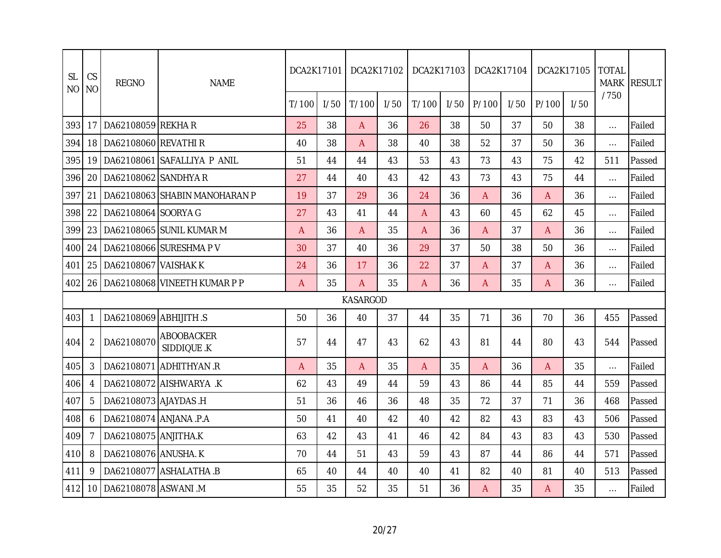| <b>SL</b><br><b>NO</b> | <b>CS</b><br><b>NO</b> | <b>REGNO</b>           | <b>NAME</b>                         | DCA2K17101     |      | DCA2K17102      |      | DCA2K17103 |      | DCA2K17104 |      | DCA2K17105 |      | <b>TOTAL</b><br><b>MARK</b> | <b>RESULT</b> |
|------------------------|------------------------|------------------------|-------------------------------------|----------------|------|-----------------|------|------------|------|------------|------|------------|------|-----------------------------|---------------|
|                        |                        |                        |                                     | T/100          | 1/50 | T/100           | 1/50 | T/100      | 1/50 | P/100      | 1/50 | P/100      | 1/50 | /750                        |               |
| 393                    | 17                     | DA62108059 REKHAR      |                                     | 25             | 38   | A               | 36   | 26         | 38   | 50         | 37   | 50         | 38   | $\ldots$                    | Failed        |
| 394                    | 18                     | DA62108060 REVATHI R   |                                     | 40             | 38   | A               | 38   | 40         | 38   | 52         | 37   | 50         | 36   | $\cdots$                    | Failed        |
| 395                    | 19                     |                        | DA62108061 SAFALLIYA P ANIL         | 51             | 44   | 44              | 43   | 53         | 43   | 73         | 43   | 75         | 42   | 511                         | Passed        |
| 396                    | 20                     | DA62108062 SANDHYA R   |                                     | 27             | 44   | 40              | 43   | 42         | 43   | 73         | 43   | 75         | 44   | $\ldots$                    | Failed        |
| 397                    | 21                     |                        | DA62108063 SHABIN MANOHARAN P       | 19             | 37   | 29              | 36   | 24         | 36   | A          | 36   | A          | 36   | $\ldots$                    | Failed        |
| 398                    | 22                     | DA62108064 SOORYA G    |                                     | 27             | 43   | 41              | 44   | A          | 43   | 60         | 45   | 62         | 45   | $\cdots$                    | Failed        |
| 399                    | 23                     |                        | DA62108065 SUNIL KUMAR M            | A              | 36   | A               | 35   | A          | 36   | A          | 37   | A          | 36   | $\dots$                     | Failed        |
| 400                    | 24                     |                        | DA62108066 SURESHMA P V             | 30             | 37   | 40              | 36   | 29         | 37   | 50         | 38   | 50         | 36   | $\cdots$                    | Failed        |
| 401                    | 25                     | DA62108067 VAISHAK K   |                                     | 24             | 36   | 17              | 36   | 22         | 37   | Α          | 37   | A          | 36   | $\cdots$                    | Failed        |
| 402                    |                        |                        | 26   DA62108068   VINEETH KUMAR P P | A              | 35   | A               | 35   | A          | 36   | A          | 35   | A          | 36   | $\ldots$                    | Failed        |
|                        |                        |                        |                                     |                |      | <b>KASARGOD</b> |      |            |      |            |      |            |      |                             |               |
| 403                    |                        | DA62108069 ABHIJITH .S |                                     | 50             | 36   | 40              | 37   | 44         | 35   | 71         | 36   | 70         | 36   | 455                         | Passed        |
| 404                    | 2                      | DA62108070             | <b>ABOOBACKER</b><br>SIDDIQUE .K    | 57             | 44   | 47              | 43   | 62         | 43   | 81         | 44   | 80         | 43   | 544                         | Passed        |
| 405                    | 3                      |                        | DA62108071 ADHITHYAN .R             | $\overline{A}$ | 35   | A               | 35   | A          | 35   | A          | 36   | A          | 35   | $\ldots$                    | Failed        |
| 406                    |                        |                        | DA62108072 AISHWARYA .K             | 62             | 43   | 49              | 44   | 59         | 43   | 86         | 44   | 85         | 44   | 559                         | Passed        |
| 407                    | 5                      | DA62108073 AJAYDAS .H  |                                     | 51             | 36   | 46              | 36   | 48         | 35   | 72         | 37   | 71         | 36   | 468                         | Passed        |
| 408                    | 6                      | DA62108074 ANJANA .P.A |                                     | 50             | 41   | 40              | 42   | 40         | 42   | 82         | 43   | 83         | 43   | 506                         | Passed        |
| 409                    |                        | DA62108075 ANJITHA.K   |                                     | 63             | 42   | 43              | 41   | 46         | 42   | 84         | 43   | 83         | 43   | 530                         | Passed        |
| 410                    | 8                      | DA62108076 ANUSHA. K   |                                     | 70             | 44   | 51              | 43   | 59         | 43   | 87         | 44   | 86         | 44   | 571                         | Passed        |
| 411                    | 9                      |                        | DA62108077 ASHALATHA .B             | 65             | 40   | 44              | 40   | 40         | 41   | 82         | 40   | 81         | 40   | 513                         | Passed        |
| 412                    | 10                     | DA62108078 ASWANI .M   |                                     | 55             | 35   | 52              | 35   | 51         | 36   | A          | 35   | A          | 35   | $\cdots$                    | Failed        |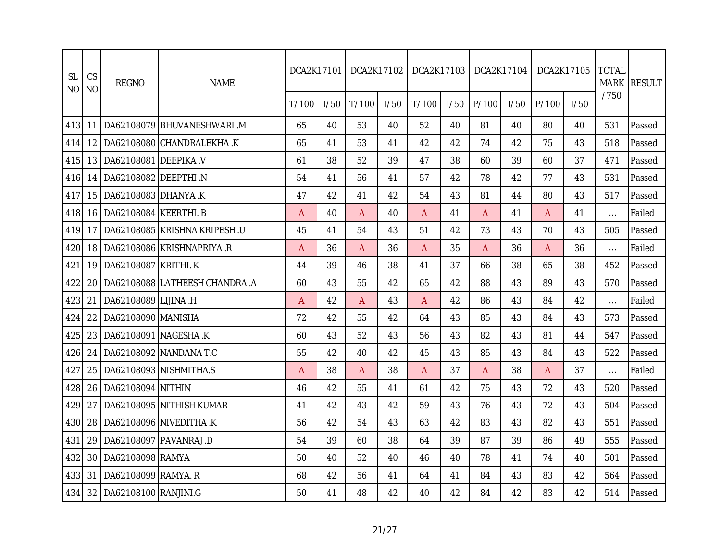| <b>SL</b><br><b>NO</b> | CS<br><b>NO</b> | <b>REGNO</b>          | <b>NAME</b>                           | DCA2K17101     |      | DCA2K17102 |      | DCA2K17103     |      | DCA2K17104 |      |       | DCA2K17105 | <b>TOTAL</b> | MARK RESULT |
|------------------------|-----------------|-----------------------|---------------------------------------|----------------|------|------------|------|----------------|------|------------|------|-------|------------|--------------|-------------|
|                        |                 |                       |                                       | T/100          | 1/50 | T/100      | 1/50 | T/100          | 1/50 | P/100      | 1/50 | P/100 | 1/50       | /750         |             |
| 413                    | 11              |                       | DA62108079 BHUVANESHWARI M            | 65             | 40   | 53         | 40   | 52             | 40   | 81         | 40   | 80    | 40         | 531          | Passed      |
| 414                    | 12 <sup>°</sup> |                       | DA62108080 CHANDRALEKHA.K             | 65             | 41   | 53         | 41   | 42             | 42   | 74         | 42   | 75    | 43         | 518          | Passed      |
| 415                    | 13 <sup>1</sup> | DA62108081 DEEPIKA V  |                                       | 61             | 38   | 52         | 39   | 47             | 38   | 60         | 39   | 60    | 37         | 471          | Passed      |
| 416                    | 14              | DA62108082 DEEPTHI .N |                                       | 54             | 41   | 56         | 41   | 57             | 42   | 78         | 42   | 77    | 43         | 531          | Passed      |
| 417                    | 15              | DA62108083 DHANYA.K   |                                       | 47             | 42   | 41         | 42   | 54             | 43   | 81         | 44   | 80    | 43         | 517          | Passed      |
| 418                    | 16              | DA62108084 KEERTHI. B |                                       | $\overline{A}$ | 40   | A          | 40   | A              | 41   | A          | 41   | A     | 41         | $\ldots$     | Failed      |
| 419                    | 17              |                       | DA62108085 KRISHNA KRIPESH.U          | 45             | 41   | 54         | 43   | 51             | 42   | 73         | 43   | 70    | 43         | 505          | Passed      |
| 420                    | 18 <sup>1</sup> |                       | DA62108086 KRISHNAPRIYA.R             | A              | 36   | A          | 36   | $\mathsf{A}$   | 35   | A          | 36   | A     | 36         | $\cdots$     | Failed      |
| 421                    | 19              | DA62108087 KRITHI.K   |                                       | 44             | 39   | 46         | 38   | 41             | 37   | 66         | 38   | 65    | 38         | 452          | Passed      |
| 422                    |                 |                       | 20   DA62108088   LATHEESH CHANDRA .A | 60             | 43   | 55         | 42   | 65             | 42   | 88         | 43   | 89    | 43         | 570          | Passed      |
| 423                    | 21              | DA62108089 LIJINA .H  |                                       | Α              | 42   | A          | 43   | $\overline{A}$ | 42   | 86         | 43   | 84    | 42         | $\cdots$     | Failed      |
| 424                    | 22              | DA62108090 MANISHA    |                                       | 72             | 42   | 55         | 42   | 64             | 43   | 85         | 43   | 84    | 43         | 573          | Passed      |
| 425                    | 23              | DA62108091 NAGESHA .K |                                       | 60             | 43   | 52         | 43   | 56             | 43   | 82         | 43   | 81    | 44         | 547          | Passed      |
| 426                    | 24              |                       | DA62108092 NANDANA T.C                | 55             | 42   | 40         | 42   | 45             | 43   | 85         | 43   | 84    | 43         | 522          | Passed      |
| 427                    | 25              |                       | DA62108093 NISHMITHA.S                | А              | 38   | A          | 38   | A              | 37   | A          | 38   | A     | 37         | $\cdots$     | Failed      |
| 428                    | 26              | DA62108094 NITHIN     |                                       | 46             | 42   | 55         | 41   | 61             | 42   | 75         | 43   | 72    | 43         | 520          | Passed      |
| 429                    | 27              |                       | DA62108095 NITHISH KUMAR              | 41             | 42   | 43         | 42   | 59             | 43   | 76         | 43   | 72    | 43         | 504          | Passed      |
| 430                    | 28              |                       | DA62108096 NIVEDITHA .K               | 56             | 42   | 54         | 43   | 63             | 42   | 83         | 43   | 82    | 43         | 551          | Passed      |
| 431                    | 29              |                       | DA62108097 PAVANRAJ.D                 | 54             | 39   | 60         | 38   | 64             | 39   | 87         | 39   | 86    | 49         | 555          | Passed      |
| 432                    | 30              | DA62108098 RAMYA      |                                       | 50             | 40   | 52         | 40   | 46             | 40   | 78         | 41   | 74    | 40         | 501          | Passed      |
| 433                    | 31              | DA62108099 RAMYA. R   |                                       | 68             | 42   | 56         | 41   | 64             | 41   | 84         | 43   | 83    | 42         | 564          | Passed      |
| 434                    | 32              | DA62108100 RANJINI.G  |                                       | 50             | 41   | 48         | 42   | 40             | 42   | 84         | 42   | 83    | 42         | 514          | Passed      |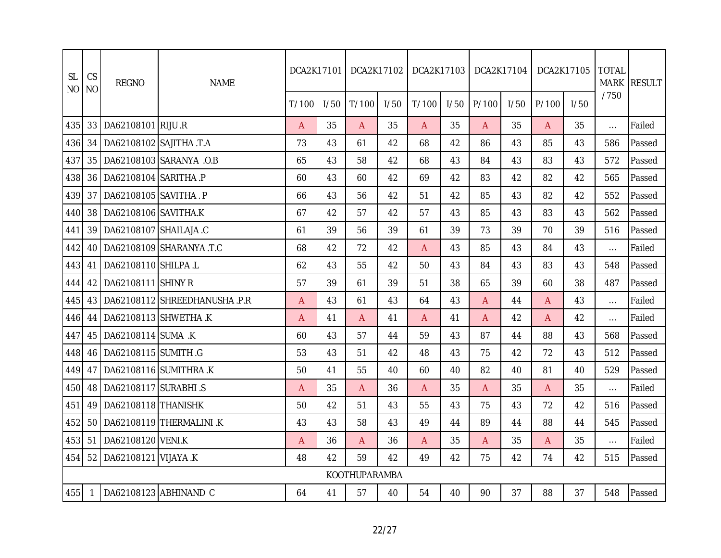| <b>SL</b><br>N <sub>O</sub> | CS<br><b>NO</b> | <b>REGNO</b>                | <b>NAME</b>                          | DCA2K17101 |      | DCA2K17102           |      | DCA2K17103   |      | DCA2K17104 |      |       | DCA2K17105 | <b>TOTAL</b> | MARK RESULT |
|-----------------------------|-----------------|-----------------------------|--------------------------------------|------------|------|----------------------|------|--------------|------|------------|------|-------|------------|--------------|-------------|
|                             |                 |                             |                                      | T/100      | 1/50 | T/100                | 1/50 | T/100        | 1/50 | P/100      | I/50 | P/100 | I/50       | /750         |             |
| 435                         | 33              | DA62108101 RIJU .R          |                                      | A          | 35   | A                    | 35   | $\mathsf{A}$ | 35   | A          | 35   | A     | 35         | $\cdots$     | Failed      |
| 436                         | 34              | DA62108102 SAJITHA .T.A     |                                      | 73         | 43   | 61                   | 42   | 68           | 42   | 86         | 43   | 85    | 43         | 586          | Passed      |
| 437                         | 35              |                             | DA62108103 SARANYA .O.B              | 65         | 43   | 58                   | 42   | 68           | 43   | 84         | 43   | 83    | 43         | 572          | Passed      |
| 438                         | 36              | DA62108104 SARITHA .P       |                                      | 60         | 43   | 60                   | 42   | 69           | 42   | 83         | 42   | 82    | 42         | 565          | Passed      |
| 439                         | 37              | DA62108105 SAVITHA. P       |                                      | 66         | 43   | 56                   | 42   | 51           | 42   | 85         | 43   | 82    | 42         | 552          | Passed      |
| 440                         | 38              | DA62108106 SAVITHA.K        |                                      | 67         | 42   | 57                   | 42   | 57           | 43   | 85         | 43   | 83    | 43         | 562          | Passed      |
| 441                         | 39              | DA62108107 SHAILAJA .C      |                                      | 61         | 39   | 56                   | 39   | 61           | 39   | 73         | 39   | 70    | 39         | 516          | Passed      |
| 442                         |                 |                             | 40   DA62108109   SHARANYA .T.C      | 68         | 42   | 72                   | 42   | $\mathsf{A}$ | 43   | 85         | 43   | 84    | 43         | $\ldots$     | Failed      |
| 443                         | 41              | DA62108110 SHILPA .L        |                                      | 62         | 43   | 55                   | 42   | 50           | 43   | 84         | 43   | 83    | 43         | 548          | Passed      |
| 444                         | 42              | DA62108111 SHINY R          |                                      | 57         | 39   | 61                   | 39   | 51           | 38   | 65         | 39   | 60    | 38         | 487          | Passed      |
| 445                         |                 |                             | 43   DA62108112   SHREEDHANUSHA .P.R | Α          | 43   | 61                   | 43   | 64           | 43   | A          | 44   | A     | 43         | $\cdots$     | Failed      |
| 446                         | 44              |                             | DA62108113 SHWETHA .K                | Α          | 41   | A                    | 41   | $\mathsf{A}$ | 41   | A          | 42   | A     | 42         | $\cdots$     | Failed      |
| 447                         | 45              | DA62108114 SUMA .K          |                                      | 60         | 43   | 57                   | 44   | 59           | 43   | 87         | 44   | 88    | 43         | 568          | Passed      |
| 448                         | 46              | DA62108115 SUMITH .G        |                                      | 53         | 43   | 51                   | 42   | 48           | 43   | 75         | 42   | 72    | 43         | 512          | Passed      |
| 449                         | 47              |                             | DA62108116 SUMITHRA.K                | 50         | 41   | 55                   | 40   | 60           | 40   | 82         | 40   | 81    | 40         | 529          | Passed      |
| 450                         | 48              | DA62108117 SURABHI .S       |                                      | Α          | 35   | A                    | 36   | $\mathsf{A}$ | 35   | A          | 35   | A     | 35         | $\cdots$     | Failed      |
| 451                         | 49              | DA62108118 THANISHK         |                                      | 50         | 42   | 51                   | 43   | 55           | 43   | 75         | 43   | 72    | 42         | 516          | Passed      |
| 452                         | 50              |                             | DA62108119 THERMALINI .K             | 43         | 43   | 58                   | 43   | 49           | 44   | 89         | 44   | 88    | 44         | 545          | Passed      |
| 453                         | 51              | DA62108120 VENI.K           |                                      | A          | 36   | A                    | 36   | $\mathsf{A}$ | 35   | A          | 35   | A     | 35         | $\cdots$     | Failed      |
| 454                         |                 | 52   DA62108121   VIJAYA .K |                                      | 48         | 42   | 59                   | 42   | 49           | 42   | 75         | 42   | 74    | 42         | 515          | Passed      |
|                             |                 |                             |                                      |            |      | <b>KOOTHUPARAMBA</b> |      |              |      |            |      |       |            |              |             |
| 455                         | -1              |                             | DA62108123 ABHINAND C                | 64         | 41   | 57                   | 40   | 54           | 40   | 90         | 37   | 88    | 37         | 548          | Passed      |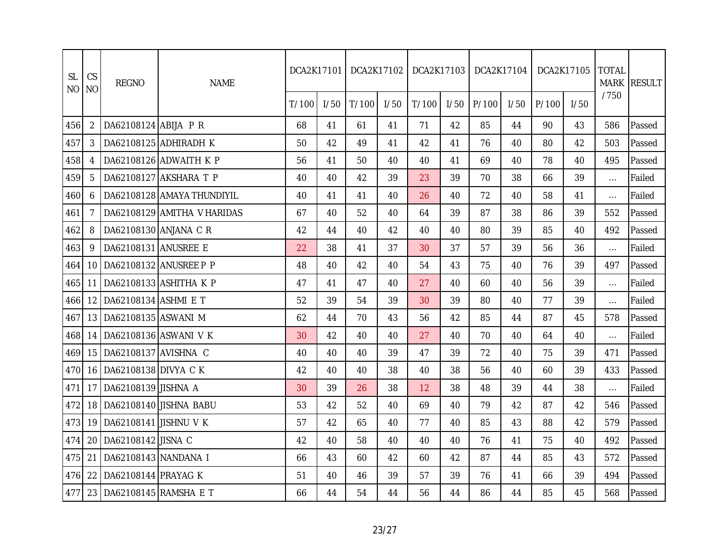| <b>SL</b><br><b>NO</b> | CS<br><b>NO</b> | <b>REGNO</b>             | <b>NAME</b>                 | DCA2K17101 |      | DCA2K17102 |      | DCA2K17103 |      | DCA2K17104 |      | DCA2K17105 |      | <b>TOTAL</b> | MARK RESULT |
|------------------------|-----------------|--------------------------|-----------------------------|------------|------|------------|------|------------|------|------------|------|------------|------|--------------|-------------|
|                        |                 |                          |                             | T/100      | 1/50 | T/100      | 1/50 | T/100      | 1/50 | P/100      | I/50 | P/100      | 1/50 | /750         |             |
| 456                    | 2               | DA62108124 ABIJA P R     |                             | 68         | 41   | 61         | 41   | 71         | 42   | 85         | 44   | 90         | 43   | 586          | Passed      |
| 457                    | 3               |                          | DA62108125 ADHIRADH K       | 50         | 42   | 49         | 41   | 42         | 41   | 76         | 40   | 80         | 42   | 503          | Passed      |
| 458                    |                 |                          | DA62108126 ADWAITH K P      | 56         | 41   | 50         | 40   | 40         | 41   | 69         | 40   | 78         | 40   | 495          | Passed      |
| 459                    | 5               |                          | DA62108127 AKSHARA T P      | 40         | 40   | 42         | 39   | 23         | 39   | 70         | 38   | 66         | 39   | $\cdots$     | Failed      |
| 460                    | 6               |                          | DA62108128 AMAYA THUNDIYIL  | 40         | 41   | 41         | 40   | 26         | 40   | 72         | 40   | 58         | 41   | $\cdots$     | Failed      |
| 461                    | 7               |                          | DA62108129 AMITHA V HARIDAS | 67         | 40   | 52         | 40   | 64         | 39   | 87         | 38   | 86         | 39   | 552          | Passed      |
| 462                    | 8               | DA62108130 ANJANA C R    |                             | 42         | 44   | 40         | 42   | 40         | 40   | 80         | 39   | 85         | 40   | 492          | Passed      |
| 463                    | 9               | DA62108131 ANUSREE E     |                             | 22         | 38   | 41         | 37   | 30         | 37   | 57         | 39   | 56         | 36   | $\cdots$     | Failed      |
| 464                    | 10              |                          | DA62108132 ANUSREE P P      | 48         | 40   | 42         | 40   | 54         | 43   | 75         | 40   | 76         | 39   | 497          | Passed      |
| 465                    | 11              |                          | DA62108133 ASHITHA K P      | 47         | 41   | 47         | 40   | 27         | 40   | 60         | 40   | 56         | 39   | $\cdots$     | Failed      |
| 466                    | 12              | DA62108134 ASHMI E T     |                             | 52         | 39   | 54         | 39   | 30         | 39   | 80         | 40   | 77         | 39   | $\cdots$     | Failed      |
| 467                    | 13              | DA62108135 ASWANI M      |                             | 62         | 44   | 70         | 43   | 56         | 42   | 85         | 44   | 87         | 45   | 578          | Passed      |
| 468                    | 14              |                          | DA62108136 ASWANI V K       | 30         | 42   | 40         | 40   | 27         | 40   | 70         | 40   | 64         | 40   | $\cdots$     | Failed      |
| 469                    | 15              | DA62108137 AVISHNA C     |                             | 40         | 40   | 40         | 39   | 47         | 39   | 72         | 40   | 75         | 39   | 471          | Passed      |
| 470                    | 16              | DA62108138 DIVYA C K     |                             | 42         | 40   | 40         | 38   | 40         | 38   | 56         | 40   | 60         | 39   | 433          | Passed      |
| 471                    | 17              | DA62108139 JISHNA A      |                             | 30         | 39   | 26         | 38   | 12         | 38   | 48         | 39   | 44         | 38   | $\cdots$     | Failed      |
| 472                    | 18              |                          | DA62108140 JISHNA BABU      | 53         | 42   | 52         | 40   | 69         | 40   | 79         | 42   | 87         | 42   | 546          | Passed      |
| 473                    | 19              | DA62108141 JISHNU V K    |                             | 57         | 42   | 65         | 40   | 77         | 40   | 85         | 43   | 88         | 42   | 579          | Passed      |
| 474                    | 20              | DA62108142 JISNA C       |                             | 42         | 40   | 58         | 40   | 40         | 40   | 76         | 41   | 75         | 40   | 492          | Passed      |
| 475                    | 21              | DA62108143 NANDANA I     |                             | 66         | 43   | 60         | 42   | 60         | 42   | 87         | 44   | 85         | 43   | 572          | Passed      |
| 476                    | 22              | DA62108144 PRAYAG K      |                             | 51         | 40   | 46         | 39   | 57         | 39   | 76         | 41   | 66         | 39   | 494          | Passed      |
| 477                    |                 | 23 DA62108145 RAMSHA E T |                             | 66         | 44   | 54         | 44   | 56         | 44   | 86         | 44   | 85         | 45   | 568          | Passed      |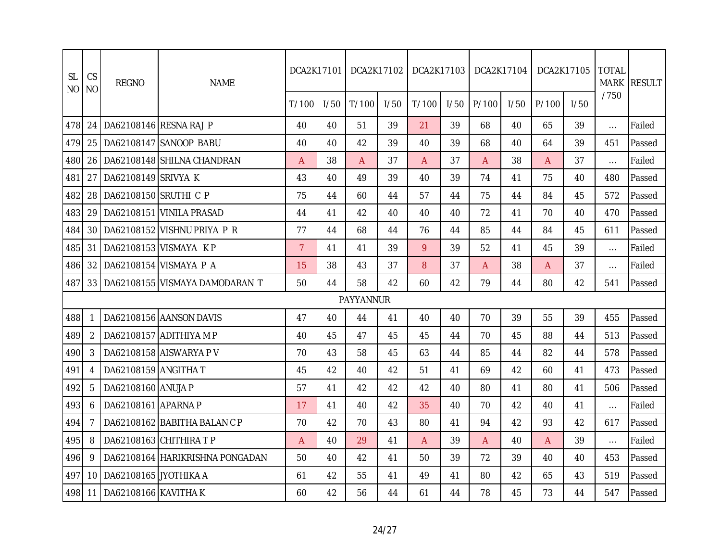| <b>SL</b><br>N <sub>O</sub> | CS<br><b>NO</b> | <b>REGNO</b>          | <b>NAME</b>                           | DCA2K17101     |      |           | DCA2K17102 | DCA2K17103   |      | DCA2K17104     |      |       | DCA2K17105 | <b>TOTAL</b><br><b>MARK</b> | <b>RESULT</b> |
|-----------------------------|-----------------|-----------------------|---------------------------------------|----------------|------|-----------|------------|--------------|------|----------------|------|-------|------------|-----------------------------|---------------|
|                             |                 |                       |                                       | T/100          | 1/50 | T/100     | 1/50       | T/100        | 1/50 | P/100          | 1/50 | P/100 | 1/50       | /750                        |               |
| 478                         | 24              |                       | DA62108146 RESNA RAJ P                | 40             | 40   | 51        | 39         | 21           | 39   | 68             | 40   | 65    | 39         | $\cdots$                    | Failed        |
| 479                         | 25              |                       | DA62108147 SANOOP BABU                | 40             | 40   | 42        | 39         | 40           | 39   | 68             | 40   | 64    | 39         | 451                         | Passed        |
| 480                         | 26              |                       | DA62108148 SHILNA CHANDRAN            | A              | 38   | A         | 37         | A            | 37   | A              | 38   | A     | 37         | $\cdots$                    | Failed        |
| 481                         | 27              | DA62108149 SRIVYA K   |                                       | 43             | 40   | 49        | 39         | 40           | 39   | 74             | 41   | 75    | 40         | 480                         | Passed        |
| 482                         | 28              | DA62108150 SRUTHI C P |                                       | 75             | 44   | 60        | 44         | 57           | 44   | 75             | 44   | 84    | 45         | 572                         | Passed        |
| 483                         | 29              |                       | DA62108151 VINILA PRASAD              | 44             | 41   | 42        | 40         | 40           | 40   | 72             | 41   | 70    | 40         | 470                         | Passed        |
| 484                         | 30              |                       | DA62108152 VISHNU PRIYA P R           | 77             | 44   | 68        | 44         | 76           | 44   | 85             | 44   | 84    | 45         | 611                         | Passed        |
| 485                         | 31              |                       | DA62108153 VISMAYA KP                 | $\overline{7}$ | 41   | 41        | 39         | 9            | 39   | 52             | 41   | 45    | 39         | $\ldots$                    | Failed        |
| 486                         | 32              |                       | DA62108154 VISMAYA P A                | 15             | 38   | 43        | 37         | 8            | 37   | $\overline{A}$ | 38   | A     | 37         | $\ldots$                    | Failed        |
| 487                         |                 |                       | 33   DA62108155   VISMAYA DAMODARAN T | 50             | 44   | 58        | 42         | 60           | 42   | 79             | 44   | 80    | 42         | 541                         | Passed        |
|                             |                 |                       |                                       |                |      | PAYYANNUR |            |              |      |                |      |       |            |                             |               |
| 488                         |                 |                       | DA62108156 AANSON DAVIS               | 47             | 40   | 44        | 41         | 40           | 40   | 70             | 39   | 55    | 39         | 455                         | Passed        |
| 489                         | 2               |                       | DA62108157 ADITHIYA M P               | 40             | 45   | 47        | 45         | 45           | 44   | 70             | 45   | 88    | 44         | 513                         | Passed        |
| 490                         | 3               |                       | DA62108158 AISWARYA P V               | 70             | 43   | 58        | 45         | 63           | 44   | 85             | 44   | 82    | 44         | 578                         | Passed        |
| 491                         | 4               | DA62108159 ANGITHA T  |                                       | 45             | 42   | 40        | 42         | 51           | 41   | 69             | 42   | 60    | 41         | 473                         | Passed        |
| 492                         | 5               | DA62108160 ANUJA P    |                                       | 57             | 41   | 42        | 42         | 42           | 40   | 80             | 41   | 80    | 41         | 506                         | Passed        |
| 493                         | 6               | DA62108161 APARNA P   |                                       | 17             | 41   | 40        | 42         | 35           | 40   | 70             | 42   | 40    | 41         | $\ldots$                    | Failed        |
| 494                         | 7               |                       | DA62108162 BABITHA BALAN C P          | 70             | 42   | 70        | 43         | 80           | 41   | 94             | 42   | 93    | 42         | 617                         | Passed        |
| 495                         | 8               |                       | DA62108163 CHITHIRA TP                | $\mathsf{A}$   | 40   | 29        | 41         | $\mathsf{A}$ | 39   | $\overline{A}$ | 40   | A     | 39         | $\cdots$                    | Failed        |
| 496                         | 9               |                       | DA62108164 HARIKRISHNA PONGADAN       | 50             | 40   | 42        | 41         | 50           | 39   | 72             | 39   | 40    | 40         | 453                         | Passed        |
| 497                         | 10              | DA62108165 JYOTHIKA A |                                       | 61             | 42   | 55        | 41         | 49           | 41   | 80             | 42   | 65    | 43         | 519                         | Passed        |
| 498                         | 11              | DA62108166 KAVITHA K  |                                       | 60             | 42   | 56        | 44         | 61           | 44   | 78             | 45   | 73    | 44         | 547                         | Passed        |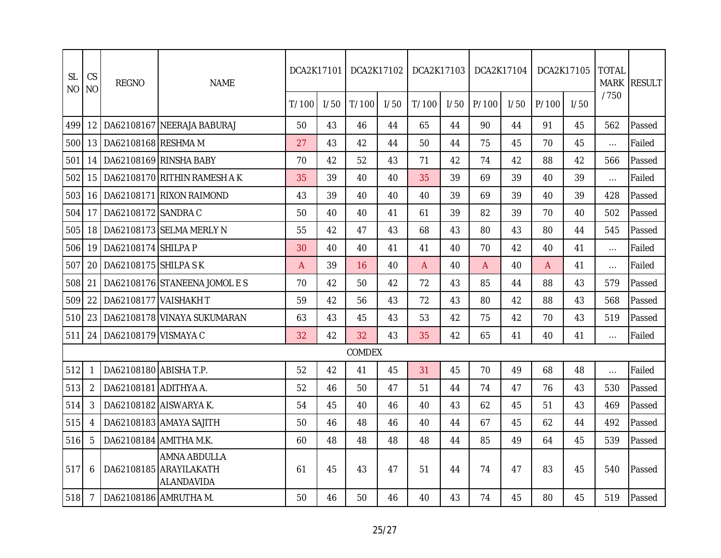| <b>SL</b><br>N <sub>O</sub> | CS<br><b>NO</b> | <b>REGNO</b>           | <b>NAME</b>                                          | DCA2K17101 |      | DCA2K17102 |      | DCA2K17103 |      | DCA2K17104   |      | DCA2K17105 |      | <b>TOTAL</b> | MARK RESULT |
|-----------------------------|-----------------|------------------------|------------------------------------------------------|------------|------|------------|------|------------|------|--------------|------|------------|------|--------------|-------------|
|                             |                 |                        |                                                      | T/100      | 1/50 | T/100      | 1/50 | T/100      | 1/50 | P/100        | 1/50 | P/100      | 1/50 | /750         |             |
| 499                         | 12 <sup>2</sup> |                        | DA62108167 NEERAJA BABURAJ                           | 50         | 43   | 46         | 44   | 65         | 44   | 90           | 44   | 91         | 45   | 562          | Passed      |
| 500                         | 13              | DA62108168 RESHMA M    |                                                      | 27         | 43   | 42         | 44   | 50         | 44   | 75           | 45   | 70         | 45   | $\cdots$     | Failed      |
| 501                         | 14              |                        | DA62108169 RINSHA BABY                               | 70         | 42   | 52         | 43   | 71         | 42   | 74           | 42   | 88         | 42   | 566          | Passed      |
| 502                         | 15              |                        | DA62108170 RITHIN RAMESH A K                         | 35         | 39   | 40         | 40   | 35         | 39   | 69           | 39   | 40         | 39   | $\cdots$     | Failed      |
| 503                         | 16              |                        | DA62108171 RIXON RAIMOND                             | 43         | 39   | 40         | 40   | 40         | 39   | 69           | 39   | 40         | 39   | 428          | Passed      |
| 504                         | 17              | DA62108172 SANDRA C    |                                                      | 50         | 40   | 40         | 41   | 61         | 39   | 82           | 39   | 70         | 40   | 502          | Passed      |
| 505                         | 18              |                        | DA62108173 SELMA MERLY N                             | 55         | 42   | 47         | 43   | 68         | 43   | 80           | 43   | 80         | 44   | 545          | Passed      |
| 506                         | 19              | DA62108174 SHILPA P    |                                                      | 30         | 40   | 40         | 41   | 41         | 40   | 70           | 42   | 40         | 41   | $\cdots$     | Failed      |
| 507                         | 20              | DA62108175 SHILPA S K  |                                                      | A          | 39   | 16         | 40   | A          | 40   | $\mathsf{A}$ | 40   | A          | 41   | $\cdots$     | Failed      |
| 508                         | 21              |                        | DA62108176 STANEENA JOMOLES                          | 70         | 42   | 50         | 42   | 72         | 43   | 85           | 44   | 88         | 43   | 579          | Passed      |
| 509                         | 22              | DA62108177 VAISHAKH T  |                                                      | 59         | 42   | 56         | 43   | 72         | 43   | 80           | 42   | 88         | 43   | 568          | Passed      |
| 510                         | 23              |                        | DA62108178 VINAYA SUKUMARAN                          | 63         | 43   | 45         | 43   | 53         | 42   | 75           | 42   | 70         | 43   | 519          | Passed      |
| 511                         | 24              | DA62108179 VISMAYA C   |                                                      | 32         | 42   | 32         | 43   | 35         | 42   | 65           | 41   | 40         | 41   | $\cdots$     | Failed      |
|                             |                 |                        |                                                      |            |      | COMDEX     |      |            |      |              |      |            |      |              |             |
| 512                         |                 | DA62108180 ABISHA T.P. |                                                      | 52         | 42   | 41         | 45   | 31         | 45   | 70           | 49   | 68         | 48   | $\cdots$     | Failed      |
| 513                         | 2               | DA62108181 ADITHYA A.  |                                                      | 52         | 46   | 50         | 47   | 51         | 44   | 74           | 47   | 76         | 43   | 530          | Passed      |
| 514                         | 3               |                        | DA62108182 AISWARYA K.                               | 54         | 45   | 40         | 46   | 40         | 43   | 62           | 45   | 51         | 43   | 469          | Passed      |
| 515                         | 4               |                        | DA62108183 AMAYA SAJITH                              | 50         | 46   | 48         | 46   | 40         | 44   | 67           | 45   | 62         | 44   | 492          | Passed      |
| 516                         | 5               |                        | DA62108184 AMITHA M.K.                               | 60         | 48   | 48         | 48   | 48         | 44   | 85           | 49   | 64         | 45   | 539          | Passed      |
| 517                         | 6               |                        | AMNA ABDULLA<br>DA62108185 ARAYILAKATH<br>ALANDAVIDA | 61         | 45   | 43         | 47   | 51         | 44   | 74           | 47   | 83         | 45   | 540          | Passed      |
| 518                         | 7               |                        | DA62108186 AMRUTHA M.                                | 50         | 46   | 50         | 46   | 40         | 43   | 74           | 45   | 80         | 45   | 519          | Passed      |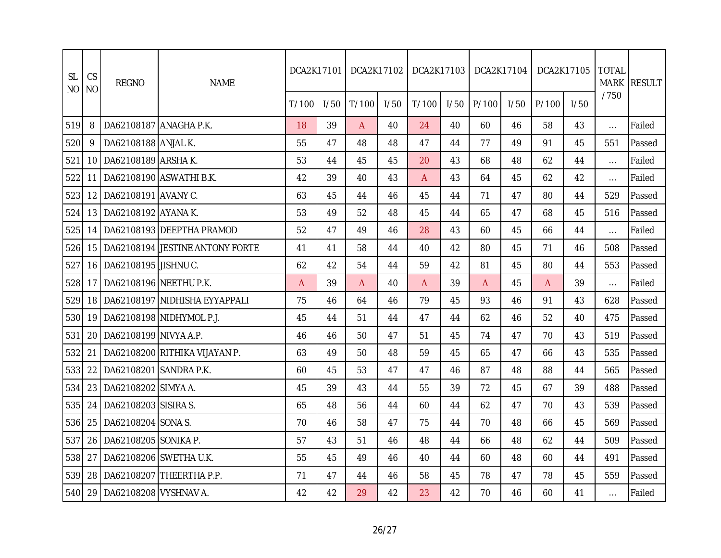| <b>SL</b><br><b>NO</b> | CS<br><b>NO</b> | <b>REGNO</b>           | <b>NAME</b>                     | DCA2K17101 |      | DCA2K17102 |      | DCA2K17103 |      | DCA2K17104 |      | DCA2K17105 |      | <b>TOTAL</b> | MARK RESULT |
|------------------------|-----------------|------------------------|---------------------------------|------------|------|------------|------|------------|------|------------|------|------------|------|--------------|-------------|
|                        |                 |                        |                                 | T/100      | 1/50 | T/100      | 1/50 | T/100      | 1/50 | P/100      | 1/50 | P/100      | 1/50 | /750         |             |
| 519                    | 8               | DA62108187 ANAGHA P.K. |                                 | 18         | 39   | A          | 40   | 24         | 40   | 60         | 46   | 58         | 43   | $\cdots$     | Failed      |
| 520                    | 9               | DA62108188 ANJAL K.    |                                 | 55         | 47   | 48         | 48   | 47         | 44   | 77         | 49   | 91         | 45   | 551          | Passed      |
| 521                    | 10              | DA62108189 ARSHA K.    |                                 | 53         | 44   | 45         | 45   | 20         | 43   | 68         | 48   | 62         | 44   | $\cdots$     | Failed      |
| 522                    | 11              |                        | DA62108190 ASWATHI B.K.         | 42         | 39   | 40         | 43   | A          | 43   | 64         | 45   | 62         | 42   | $\cdots$     | Failed      |
| 523                    | 12              | DA62108191 AVANY C.    |                                 | 63         | 45   | 44         | 46   | 45         | 44   | 71         | 47   | 80         | 44   | 529          | Passed      |
| 524                    | 13 I            | DA62108192 AYANA K.    |                                 | 53         | 49   | 52         | 48   | 45         | 44   | 65         | 47   | 68         | 45   | 516          | Passed      |
| 525                    | 14              |                        | DA62108193 DEEPTHA PRAMOD       | 52         | 47   | 49         | 46   | 28         | 43   | 60         | 45   | 66         | 44   | $\cdots$     | Failed      |
| 526                    | 15              |                        | DA62108194 JESTINE ANTONY FORTE | 41         | 41   | 58         | 44   | 40         | 42   | 80         | 45   | 71         | 46   | 508          | Passed      |
| 527                    | 16              | DA62108195 JISHNU C.   |                                 | 62         | 42   | 54         | 44   | 59         | 42   | 81         | 45   | 80         | 44   | 553          | Passed      |
| 528                    | 17              | DA62108196 NEETHU P.K. |                                 | A          | 39   | A          | 40   | A          | 39   | A          | 45   | A          | 39   | $\cdots$     | Failed      |
| 529                    | 18              |                        | DA62108197 NIDHISHA EYYAPPALI   | 75         | 46   | 64         | 46   | 79         | 45   | 93         | 46   | 91         | 43   | 628          | Passed      |
| 530                    | 19              |                        | DA62108198 NIDHYMOL P.J.        | 45         | 44   | 51         | 44   | 47         | 44   | 62         | 46   | 52         | 40   | 475          | Passed      |
| 531                    | 20              | DA62108199 NIVYA A.P.  |                                 | 46         | 46   | 50         | 47   | 51         | 45   | 74         | 47   | 70         | 43   | 519          | Passed      |
| 532                    | 21              |                        | DA62108200 RITHIKA VIJAYAN P.   | 63         | 49   | 50         | 48   | 59         | 45   | 65         | 47   | 66         | 43   | 535          | Passed      |
| 533                    | 22              | DA62108201 SANDRA P.K. |                                 | 60         | 45   | 53         | 47   | 47         | 46   | 87         | 48   | 88         | 44   | 565          | Passed      |
| 534                    | 23              | DA62108202 SIMYA A.    |                                 | 45         | 39   | 43         | 44   | 55         | 39   | 72         | 45   | 67         | 39   | 488          | Passed      |
| 535                    | 24              | DA62108203 SISIRA S.   |                                 | 65         | 48   | 56         | 44   | 60         | 44   | 62         | 47   | 70         | 43   | 539          | Passed      |
| 536                    | 25              | DA62108204 SONA S.     |                                 | 70         | 46   | 58         | 47   | 75         | 44   | 70         | 48   | 66         | 45   | 569          | Passed      |
| 537                    | 26              | DA62108205 SONIKA P.   |                                 | 57         | 43   | 51         | 46   | 48         | 44   | 66         | 48   | 62         | 44   | 509          | Passed      |
| 538                    | 27              |                        | DA62108206 SWETHA U.K.          | 55         | 45   | 49         | 46   | 40         | 44   | 60         | 48   | 60         | 44   | 491          | Passed      |
| 539                    | 28              |                        | DA62108207 THEERTHA P.P.        | 71         | 47   | 44         | 46   | 58         | 45   | 78         | 47   | 78         | 45   | 559          | Passed      |
| 540                    | 29              | DA62108208 VYSHNAV A.  |                                 | 42         | 42   | 29         | 42   | 23         | 42   | 70         | 46   | 60         | 41   | $\cdots$     | Failed      |